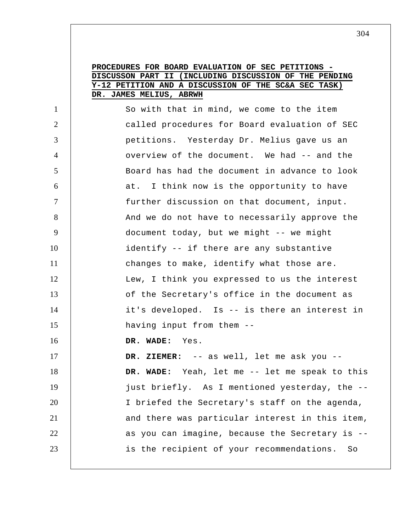## **PROCEDURES FOR BOARD EVALUATION OF SEC PETITIONS DISCUSSON PART II (INCLUDING DISCUSSION OF THE PENDING Y-12 PETITION AND A DISCUSSION OF THE SC&A SEC TASK) DR. JAMES MELIUS, ABRWH**

1 2 3 4 5 6 7 8 9 10 11 12 13 14 15 16 17 18 19 20 21 22 23 So with that in mind, we come to the item called procedures for Board evaluation of SEC petitions. Yesterday Dr. Melius gave us an overview of the document. We had -- and the Board has had the document in advance to look at. I think now is the opportunity to have further discussion on that document, input. And we do not have to necessarily approve the document today, but we might -- we might identify -- if there are any substantive changes to make, identify what those are. Lew, I think you expressed to us the interest of the Secretary's office in the document as it's developed. Is -- is there an interest in having input from them --  **DR. WADE:** Yes.  **DR. ZIEMER:** -- as well, let me ask you --  **DR. WADE:** Yeah, let me -- let me speak to this just briefly. As I mentioned yesterday, the -- I briefed the Secretary's staff on the agenda, and there was particular interest in this item, as you can imagine, because the Secretary is - is the recipient of your recommendations. So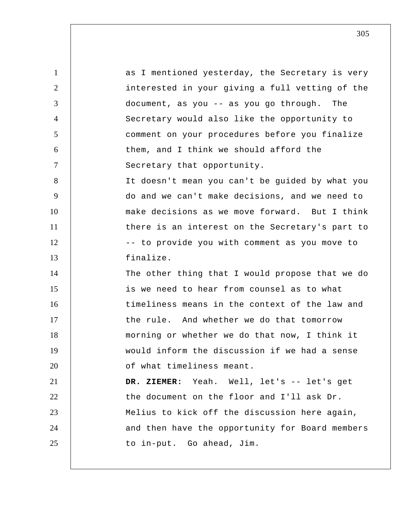1 2 3 4 5 6 7 8 9 10 11 12 13 14 15 16 17 18 19 20 21 22 23 24 25 as I mentioned yesterday, the Secretary is very interested in your giving a full vetting of the document, as you -- as you go through. The Secretary would also like the opportunity to comment on your procedures before you finalize them, and I think we should afford the Secretary that opportunity. It doesn't mean you can't be guided by what you do and we can't make decisions, and we need to make decisions as we move forward. But I think there is an interest on the Secretary's part to -- to provide you with comment as you move to finalize. The other thing that I would propose that we do is we need to hear from counsel as to what timeliness means in the context of the law and the rule. And whether we do that tomorrow morning or whether we do that now, I think it would inform the discussion if we had a sense of what timeliness meant.  **DR. ZIEMER:** Yeah. Well, let's -- let's get the document on the floor and I'll ask Dr. Melius to kick off the discussion here again, and then have the opportunity for Board members to in-put. Go ahead, Jim.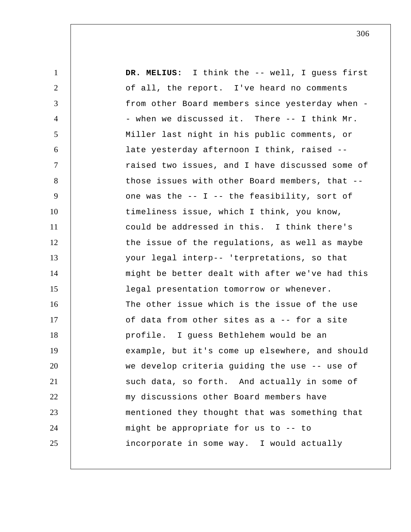1 2 3 4 5 6 7 8 9 10 11 12 13 14 15 16 17 18 19 20 21 22 23 24 25  **DR. MELIUS:** I think the -- well, I guess first of all, the report. I've heard no comments from other Board members since yesterday when - when we discussed it. There -- I think Mr. Miller last night in his public comments, or late yesterday afternoon I think, raised - raised two issues, and I have discussed some of those issues with other Board members, that - one was the -- I -- the feasibility, sort of timeliness issue, which I think, you know, could be addressed in this. I think there's the issue of the regulations, as well as maybe your legal interp-- 'terpretations, so that might be better dealt with after we've had this legal presentation tomorrow or whenever. The other issue which is the issue of the use of data from other sites as a -- for a site profile. I guess Bethlehem would be an example, but it's come up elsewhere, and should we develop criteria guiding the use -- use of such data, so forth. And actually in some of my discussions other Board members have mentioned they thought that was something that might be appropriate for us to -- to incorporate in some way. I would actually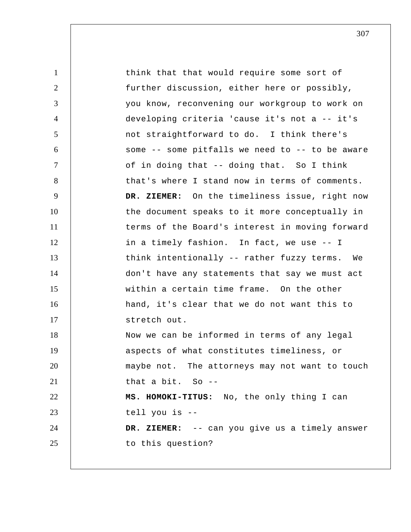1 2 3 4 5 6 7 8 9 10 11 12 13 14 15 16 17 18 19 20 21 22 23 24 25 think that that would require some sort of further discussion, either here or possibly, you know, reconvening our workgroup to work on developing criteria 'cause it's not a -- it's not straightforward to do. I think there's some -- some pitfalls we need to -- to be aware of in doing that -- doing that. So I think that's where I stand now in terms of comments.  **DR. ZIEMER:** On the timeliness issue, right now the document speaks to it more conceptually in terms of the Board's interest in moving forward in a timely fashion. In fact, we use -- I think intentionally -- rather fuzzy terms. We don't have any statements that say we must act within a certain time frame. On the other hand, it's clear that we do not want this to stretch out. Now we can be informed in terms of any legal aspects of what constitutes timeliness, or maybe not. The attorneys may not want to touch that a bit. So  $-$ -**MS. HOMOKI-TITUS:** No, the only thing I can tell you is --  **DR. ZIEMER:** -- can you give us a timely answer to this question?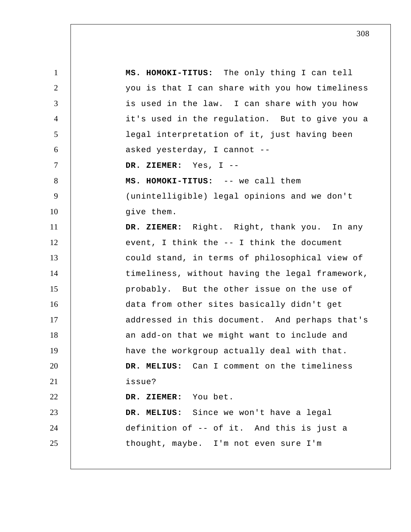1 2 3 4 5 6 7 8 9 10 11 12 13 14 15 16 17 18 19 20 21 22 23 24 25 **MS. HOMOKI-TITUS:** The only thing I can tell you is that I can share with you how timeliness is used in the law. I can share with you how it's used in the regulation. But to give you a legal interpretation of it, just having been asked yesterday, I cannot --  **DR. ZIEMER:** Yes, I --**MS. HOMOKI-TITUS:** -- we call them (unintelligible) legal opinions and we don't give them.  **DR. ZIEMER:** Right. Right, thank you. In any event, I think the -- I think the document could stand, in terms of philosophical view of timeliness, without having the legal framework, probably. But the other issue on the use of data from other sites basically didn't get addressed in this document. And perhaps that's an add-on that we might want to include and have the workgroup actually deal with that.  **DR. MELIUS:** Can I comment on the timeliness issue?  **DR. ZIEMER:** You bet.  **DR. MELIUS:** Since we won't have a legal definition of -- of it. And this is just a thought, maybe. I'm not even sure I'm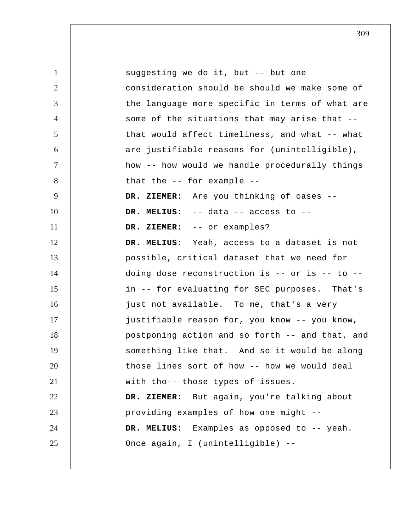1 2 3 4 5 6 7 8 9 10 11 12 13 14 15 16 17 18 19 20 21 22 23 24 25 suggesting we do it, but -- but one consideration should be should we make some of the language more specific in terms of what are some of the situations that may arise that - that would affect timeliness, and what -- what are justifiable reasons for (unintelligible), how -- how would we handle procedurally things that the -- for example --  **DR. ZIEMER:** Are you thinking of cases --  **DR. MELIUS:** -- data -- access to --  **DR. ZIEMER:** -- or examples?  **DR. MELIUS:** Yeah, access to a dataset is not possible, critical dataset that we need for doing dose reconstruction is -- or is -- to - in -- for evaluating for SEC purposes. That's just not available. To me, that's a very justifiable reason for, you know -- you know, postponing action and so forth -- and that, and something like that. And so it would be along those lines sort of how -- how we would deal with tho-- those types of issues.  **DR. ZIEMER:** But again, you're talking about providing examples of how one might --  **DR. MELIUS:** Examples as opposed to -- yeah. Once again, I (unintelligible) --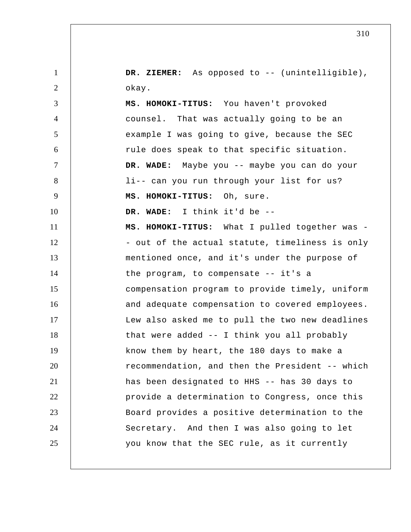1 2 DR. ZIEMER: As opposed to -- (unintelligible), okay.

3 4 5 6 7 8 9 10 11 12 13 14 15 16 17 18 19 20 21 22 23 24 25 **MS. HOMOKI-TITUS:** You haven't provoked counsel. That was actually going to be an example I was going to give, because the SEC rule does speak to that specific situation.  **DR. WADE:** Maybe you -- maybe you can do your li-- can you run through your list for us? **MS. HOMOKI-TITUS:** Oh, sure.  **DR. WADE:** I think it'd be --**MS. HOMOKI-TITUS:** What I pulled together was - out of the actual statute, timeliness is only mentioned once, and it's under the purpose of the program, to compensate -- it's a compensation program to provide timely, uniform and adequate compensation to covered employees. Lew also asked me to pull the two new deadlines that were added -- I think you all probably know them by heart, the 180 days to make a recommendation, and then the President -- which has been designated to HHS -- has 30 days to provide a determination to Congress, once this Board provides a positive determination to the Secretary. And then I was also going to let you know that the SEC rule, as it currently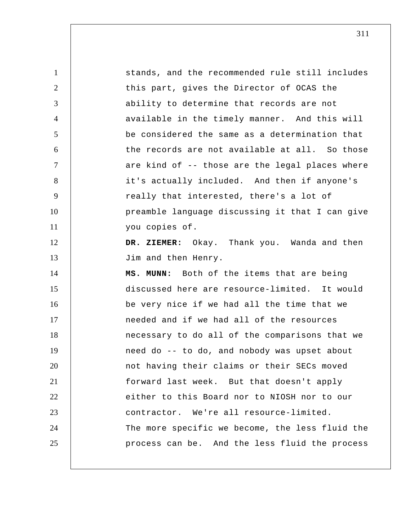| $\mathbf{1}$   | stands, and the recommended rule still includes |
|----------------|-------------------------------------------------|
| $\overline{2}$ | this part, gives the Director of OCAS the       |
| 3              | ability to determine that records are not       |
| $\overline{4}$ | available in the timely manner. And this will   |
| 5              | be considered the same as a determination that  |
| 6              | the records are not available at all. So those  |
| $\overline{7}$ | are kind of -- those are the legal places where |
| 8              | it's actually included. And then if anyone's    |
| 9              | really that interested, there's a lot of        |
| 10             | preamble language discussing it that I can give |
| 11             | you copies of.                                  |
| 12             | DR. ZIEMER: Okay. Thank you. Wanda and then     |
| 13             | Jim and then Henry.                             |
| 14             | MS. MUNN: Both of the items that are being      |
| 15             | discussed here are resource-limited. It would   |
| 16             | be very nice if we had all the time that we     |
| 17             | needed and if we had all of the resources       |
| 18             | necessary to do all of the comparisons that we  |
| 19             | need do -- to do, and nobody was upset about    |
| 20             | not having their claims or their SECs moved     |
| 21             | forward last week. But that doesn't apply       |
| 22             | either to this Board nor to NIOSH nor to our    |
| 23             | contractor. We're all resource-limited.         |
| 24             | The more specific we become, the less fluid the |
| 25             | process can be. And the less fluid the process  |
|                |                                                 |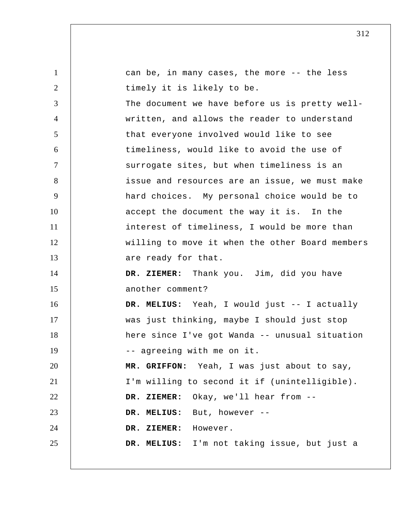| 1              | can be, in many cases, the more -- the less     |
|----------------|-------------------------------------------------|
| 2              | timely it is likely to be.                      |
| 3              | The document we have before us is pretty well-  |
| $\overline{4}$ | written, and allows the reader to understand    |
| 5              | that everyone involved would like to see        |
| 6              | timeliness, would like to avoid the use of      |
| $\tau$         | surrogate sites, but when timeliness is an      |
| 8              | issue and resources are an issue, we must make  |
| 9              | hard choices. My personal choice would be to    |
| 10             | accept the document the way it is. In the       |
| 11             | interest of timeliness, I would be more than    |
| 12             | willing to move it when the other Board members |
| 13             | are ready for that.                             |
| 14             | DR. ZIEMER: Thank you. Jim, did you have        |
| 15             | another comment?                                |
| 16             | DR. MELIUS: Yeah, I would just -- I actually    |
| 17             | was just thinking, maybe I should just stop     |
| 18             | here since I've got Wanda -- unusual situation  |
| 19             | -- agreeing with me on it.                      |
| 20             | MR. GRIFFON: Yeah, I was just about to say,     |
| 21             | I'm willing to second it if (unintelligible).   |
| 22             | Okay, we'll hear from --<br>DR. ZIEMER:         |
| 23             | DR. MELIUS: But, however --                     |
| 24             | DR. ZIEMER: However.                            |
| 25             | DR. MELIUS: I'm not taking issue, but just a    |
|                |                                                 |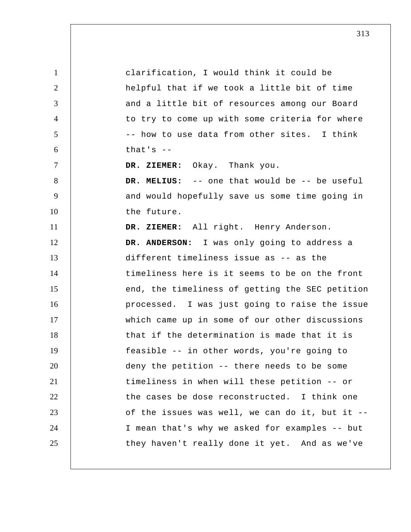1 2 3 4 5 6 7 8 9 10 11 12 13 14 15 16 17 18 19 20 21 22 23 24 25 clarification, I would think it could be helpful that if we took a little bit of time and a little bit of resources among our Board to try to come up with some criteria for where -- how to use data from other sites. I think that's  $-$  **DR. ZIEMER:** Okay. Thank you.  **DR. MELIUS:** -- one that would be -- be useful and would hopefully save us some time going in the future.  **DR. ZIEMER:** All right. Henry Anderson. **DR. ANDERSON:** I was only going to address a different timeliness issue as -- as the timeliness here is it seems to be on the front end, the timeliness of getting the SEC petition processed. I was just going to raise the issue which came up in some of our other discussions that if the determination is made that it is feasible -- in other words, you're going to deny the petition -- there needs to be some timeliness in when will these petition -- or the cases be dose reconstructed. I think one of the issues was well, we can do it, but it -- I mean that's why we asked for examples -- but they haven't really done it yet. And as we've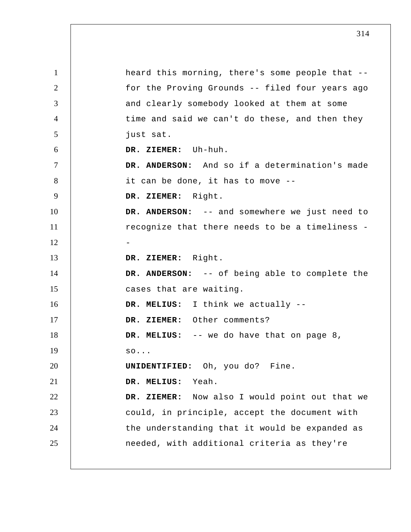1 2 3 4 5 6 7 8 9 10 11 12 13 14 15 16 17 18 19 20 21 22 23 24 25 heard this morning, there's some people that - for the Proving Grounds -- filed four years ago and clearly somebody looked at them at some time and said we can't do these, and then they just sat.  **DR. ZIEMER:** Uh-huh. **DR. ANDERSON:** And so if a determination's made it can be done, it has to move --  **DR. ZIEMER:** Right. **DR. ANDERSON:** -- and somewhere we just need to recognize that there needs to be a timeliness - **DR. ZIEMER:** Right. **DR. ANDERSON:** -- of being able to complete the cases that are waiting.  **DR. MELIUS:** I think we actually -- **DR. ZIEMER:** Other comments?  **DR. MELIUS:** -- we do have that on page 8, so... **UNIDENTIFIED:** Oh, you do? Fine.  **DR. MELIUS:** Yeah.  **DR. ZIEMER:** Now also I would point out that we could, in principle, accept the document with the understanding that it would be expanded as needed, with additional criteria as they're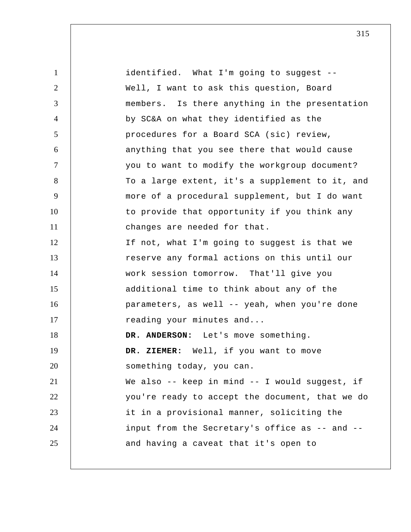1 2 3 4 5 6 7 8 9 10 11 12 13 14 15 16 17 18 19 20 21 22 23 24 25 identified. What I'm going to suggest -- Well, I want to ask this question, Board members. Is there anything in the presentation by SC&A on what they identified as the procedures for a Board SCA (sic) review, anything that you see there that would cause you to want to modify the workgroup document? To a large extent, it's a supplement to it, and more of a procedural supplement, but I do want to provide that opportunity if you think any changes are needed for that. If not, what I'm going to suggest is that we reserve any formal actions on this until our work session tomorrow. That'll give you additional time to think about any of the parameters, as well -- yeah, when you're done reading your minutes and... **DR. ANDERSON:** Let's move something.  **DR. ZIEMER:** Well, if you want to move something today, you can. We also -- keep in mind -- I would suggest, if you're ready to accept the document, that we do it in a provisional manner, soliciting the input from the Secretary's office as -- and - and having a caveat that it's open to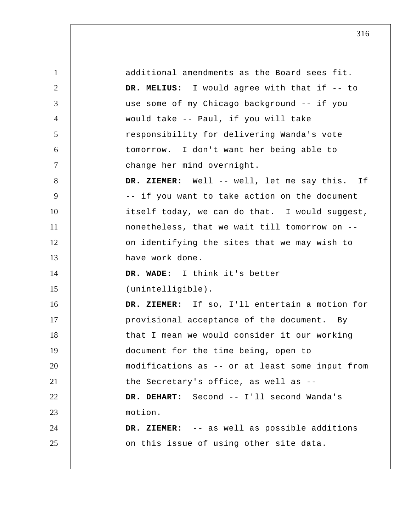1 2 3 4 5 6 7 8 9 10 11 12 13 14 15 16 17 18 19 20 21 22 23 24 25 additional amendments as the Board sees fit.  **DR. MELIUS:** I would agree with that if -- to use some of my Chicago background -- if you would take -- Paul, if you will take responsibility for delivering Wanda's vote tomorrow. I don't want her being able to change her mind overnight.  **DR. ZIEMER:** Well -- well, let me say this. If -- if you want to take action on the document itself today, we can do that. I would suggest, nonetheless, that we wait till tomorrow on - on identifying the sites that we may wish to have work done.  **DR. WADE:** I think it's better (unintelligible).  **DR. ZIEMER:** If so, I'll entertain a motion for provisional acceptance of the document. By that I mean we would consider it our working document for the time being, open to modifications as -- or at least some input from the Secretary's office, as well as --  **DR. DEHART:** Second -- I'll second Wanda's motion.  **DR. ZIEMER:** -- as well as possible additions on this issue of using other site data.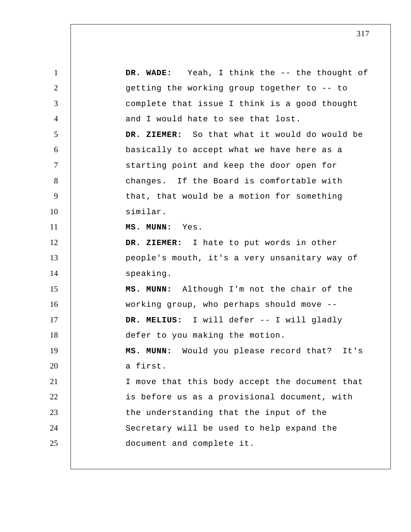| $\mathbf{1}$   | DR. WADE: Yeah, I think the -- the thought of   |
|----------------|-------------------------------------------------|
| $\overline{2}$ | getting the working group together to -- to     |
| 3              | complete that issue I think is a good thought   |
| $\overline{4}$ | and I would hate to see that lost.              |
| 5              | DR. ZIEMER: So that what it would do would be   |
| 6              | basically to accept what we have here as a      |
| $\overline{7}$ | starting point and keep the door open for       |
| 8              | changes. If the Board is comfortable with       |
| 9              | that, that would be a motion for something      |
| 10             | similar.                                        |
| 11             | MS. MUNN: Yes.                                  |
| 12             | DR. ZIEMER: I hate to put words in other        |
| 13             | people's mouth, it's a very unsanitary way of   |
| 14             | speaking.                                       |
| 15             | MS. MUNN: Although I'm not the chair of the     |
| 16             | working group, who perhaps should move --       |
| 17             | DR. MELIUS: I will defer -- I will gladly       |
| 18             | defer to you making the motion.                 |
| 19             | Would you please record that? It's<br>MS. MUNN: |
| 20             | a first.                                        |
| 21             | I move that this body accept the document that  |
| 22             | is before us as a provisional document, with    |
| 23             | the understanding that the input of the         |
| 24             | Secretary will be used to help expand the       |
| 25             | document and complete it.                       |
|                |                                                 |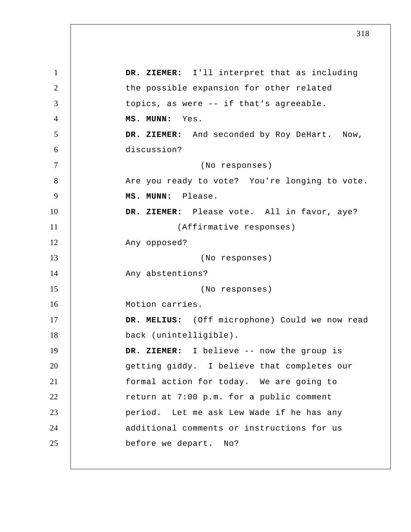1 2 3 4 5 6 7 8 9 10 11 12 13 14 15 16 17 18 19 20 21 22 23 24 25  **DR. ZIEMER:** I'll interpret that as including the possible expansion for other related topics, as were -- if that's agreeable.  **MS. MUNN:** Yes.  **DR. ZIEMER:** And seconded by Roy DeHart. Now, discussion? (No responses) Are you ready to vote? You're longing to vote.  **MS. MUNN:** Please.  **DR. ZIEMER:** Please vote. All in favor, aye? (Affirmative responses) Any opposed? (No responses) Any abstentions? (No responses) Motion carries.  **DR. MELIUS:** (Off microphone) Could we now read back (unintelligible).  **DR. ZIEMER:** I believe -- now the group is getting giddy. I believe that completes our formal action for today. We are going to return at 7:00 p.m. for a public comment period. Let me ask Lew Wade if he has any additional comments or instructions for us before we depart. No?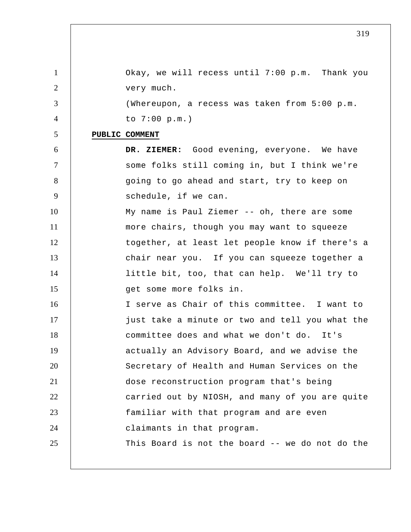| 1              | Okay, we will recess until 7:00 p.m. Thank you  |
|----------------|-------------------------------------------------|
| 2              | very much.                                      |
| 3              | (Whereupon, a recess was taken from 5:00 p.m.   |
| $\overline{4}$ | to $7:00$ p.m.)                                 |
| 5              | PUBLIC COMMENT                                  |
| 6              | DR. ZIEMER: Good evening, everyone. We have     |
| $\tau$         | some folks still coming in, but I think we're   |
| 8              | going to go ahead and start, try to keep on     |
| 9              | schedule, if we can.                            |
| 10             | My name is Paul Ziemer -- oh, there are some    |
| 11             | more chairs, though you may want to squeeze     |
| 12             | together, at least let people know if there's a |
| 13             | chair near you. If you can squeeze together a   |
| 14             | little bit, too, that can help. We'll try to    |
| 15             | get some more folks in.                         |
| 16             | I serve as Chair of this committee. I want to   |
| 17             | just take a minute or two and tell you what the |
| 18             | committee does and what we don't do. It's       |
| 19             | actually an Advisory Board, and we advise the   |
| 20             | Secretary of Health and Human Services on the   |
| 21             | dose reconstruction program that's being        |
| 22             | carried out by NIOSH, and many of you are quite |
| 23             | familiar with that program and are even         |
| 24             | claimants in that program.                      |
| 25             | This Board is not the board -- we do not do the |
|                |                                                 |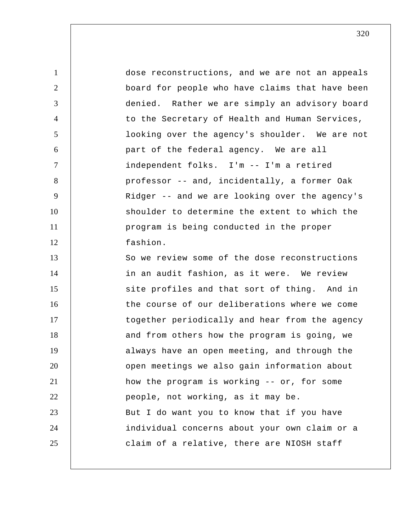1 2 3 4 5 6 7 8 9 10 11 12 13 14 15 16 17 18 19 20 21 22 23 24 25 dose reconstructions, and we are not an appeals board for people who have claims that have been denied. Rather we are simply an advisory board to the Secretary of Health and Human Services, looking over the agency's shoulder. We are not part of the federal agency. We are all independent folks. I'm -- I'm a retired professor -- and, incidentally, a former Oak Ridger -- and we are looking over the agency's shoulder to determine the extent to which the program is being conducted in the proper fashion. So we review some of the dose reconstructions in an audit fashion, as it were. We review site profiles and that sort of thing. And in the course of our deliberations where we come together periodically and hear from the agency and from others how the program is going, we always have an open meeting, and through the open meetings we also gain information about how the program is working -- or, for some people, not working, as it may be. But I do want you to know that if you have individual concerns about your own claim or a claim of a relative, there are NIOSH staff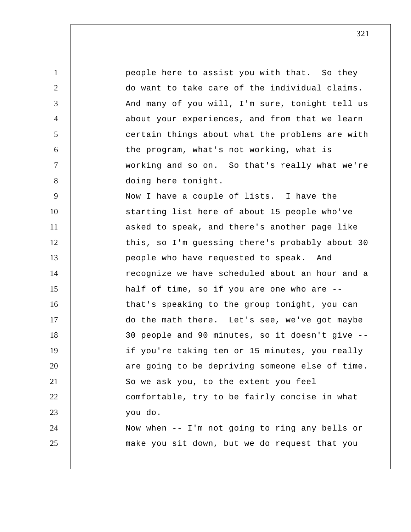1 2 3 4 5 6 7 8 9 10 11 12 13 14 15 16 17 18 19 20 21 22 23 24 25 people here to assist you with that. So they do want to take care of the individual claims. And many of you will, I'm sure, tonight tell us about your experiences, and from that we learn certain things about what the problems are with the program, what's not working, what is working and so on. So that's really what we're doing here tonight. Now I have a couple of lists. I have the starting list here of about 15 people who've asked to speak, and there's another page like this, so I'm guessing there's probably about 30 people who have requested to speak. And recognize we have scheduled about an hour and a half of time, so if you are one who are - that's speaking to the group tonight, you can do the math there. Let's see, we've got maybe 30 people and 90 minutes, so it doesn't give - if you're taking ten or 15 minutes, you really are going to be depriving someone else of time. So we ask you, to the extent you feel comfortable, try to be fairly concise in what you do. Now when -- I'm not going to ring any bells or make you sit down, but we do request that you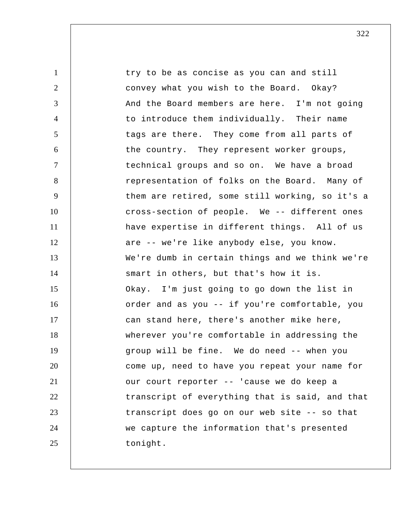1 2 3 4 5 6 7 8 9 10 11 12 13 14 15 16 17 18 19 20 21 22 23 24 25 try to be as concise as you can and still convey what you wish to the Board. Okay? And the Board members are here. I'm not going to introduce them individually. Their name tags are there. They come from all parts of the country. They represent worker groups, technical groups and so on. We have a broad representation of folks on the Board. Many of them are retired, some still working, so it's a cross-section of people. We -- different ones have expertise in different things. All of us are -- we're like anybody else, you know. We're dumb in certain things and we think we're smart in others, but that's how it is. Okay. I'm just going to go down the list in order and as you -- if you're comfortable, you can stand here, there's another mike here, wherever you're comfortable in addressing the group will be fine. We do need -- when you come up, need to have you repeat your name for our court reporter -- 'cause we do keep a transcript of everything that is said, and that transcript does go on our web site -- so that we capture the information that's presented tonight.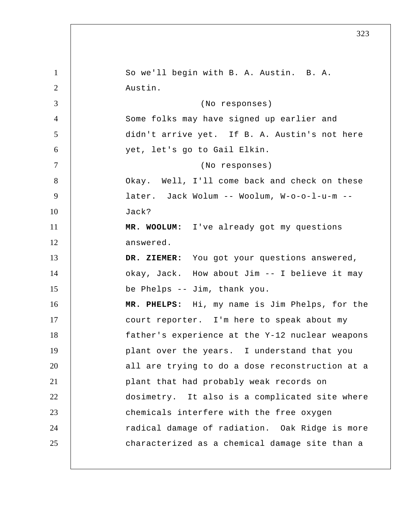1 2 3 4 5 6 7 8 9 10 11 12 13 14 15 16 17 18 19 20 21 22 23 24 25 So we'll begin with B. A. Austin. B. A. Austin. (No responses) Some folks may have signed up earlier and didn't arrive yet. If B. A. Austin's not here yet, let's go to Gail Elkin. (No responses) Okay. Well, I'll come back and check on these later. Jack Wolum -- Woolum, W-o-o-l-u-m -- Jack?  **MR. WOOLUM:** I've already got my questions answered.  **DR. ZIEMER:** You got your questions answered, okay, Jack. How about Jim -- I believe it may be Phelps -- Jim, thank you.  **MR. PHELPS:** Hi, my name is Jim Phelps, for the court reporter. I'm here to speak about my father's experience at the Y-12 nuclear weapons plant over the years. I understand that you all are trying to do a dose reconstruction at a plant that had probably weak records on dosimetry. It also is a complicated site where chemicals interfere with the free oxygen radical damage of radiation. Oak Ridge is more characterized as a chemical damage site than a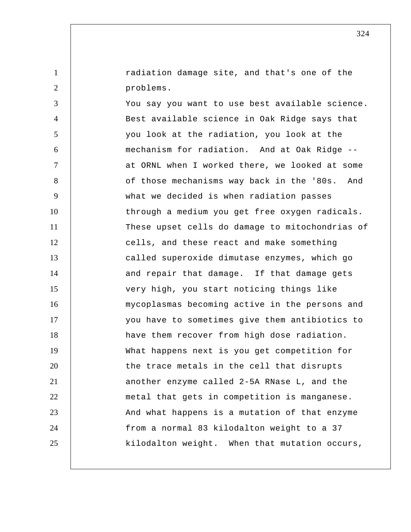radiation damage site, and that's one of the problems.

1

2

3 4 5 6 7 8 9 10 11 12 13 14 15 16 17 18 19 20 21 22 23 24 25 You say you want to use best available science. Best available science in Oak Ridge says that you look at the radiation, you look at the mechanism for radiation. And at Oak Ridge - at ORNL when I worked there, we looked at some of those mechanisms way back in the '80s. And what we decided is when radiation passes through a medium you get free oxygen radicals. These upset cells do damage to mitochondrias of cells, and these react and make something called superoxide dimutase enzymes, which go and repair that damage. If that damage gets very high, you start noticing things like mycoplasmas becoming active in the persons and you have to sometimes give them antibiotics to have them recover from high dose radiation. What happens next is you get competition for the trace metals in the cell that disrupts another enzyme called 2-5A RNase L, and the metal that gets in competition is manganese. And what happens is a mutation of that enzyme from a normal 83 kilodalton weight to a 37 kilodalton weight. When that mutation occurs,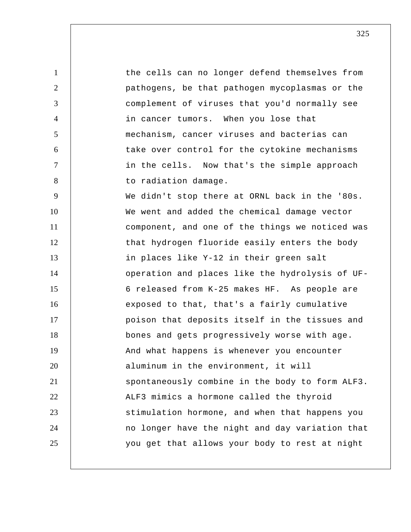1 2 3 4 5 6 7 8 9 10 11 12 13 14 15 16 17 18 19 20 21 22 23 24 25 the cells can no longer defend themselves from pathogens, be that pathogen mycoplasmas or the complement of viruses that you'd normally see in cancer tumors. When you lose that mechanism, cancer viruses and bacterias can take over control for the cytokine mechanisms in the cells. Now that's the simple approach to radiation damage. We didn't stop there at ORNL back in the '80s. We went and added the chemical damage vector component, and one of the things we noticed was that hydrogen fluoride easily enters the body in places like Y-12 in their green salt operation and places like the hydrolysis of UF-6 released from K-25 makes HF. As people are exposed to that, that's a fairly cumulative poison that deposits itself in the tissues and bones and gets progressively worse with age. And what happens is whenever you encounter aluminum in the environment, it will spontaneously combine in the body to form ALF3. ALF3 mimics a hormone called the thyroid stimulation hormone, and when that happens you no longer have the night and day variation that you get that allows your body to rest at night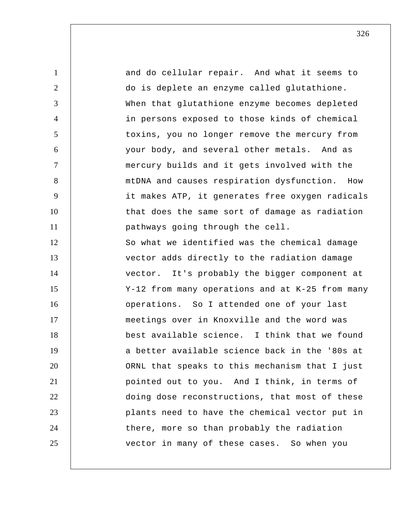1 2 3 4 5 6 7 8 9 10 11 12 13 14 15 16 17 18 19 20 21 22 23 24 25 and do cellular repair. And what it seems to do is deplete an enzyme called glutathione. When that glutathione enzyme becomes depleted in persons exposed to those kinds of chemical toxins, you no longer remove the mercury from your body, and several other metals. And as mercury builds and it gets involved with the mtDNA and causes respiration dysfunction. How it makes ATP, it generates free oxygen radicals that does the same sort of damage as radiation pathways going through the cell. So what we identified was the chemical damage vector adds directly to the radiation damage vector. It's probably the bigger component at Y-12 from many operations and at K-25 from many operations. So I attended one of your last meetings over in Knoxville and the word was best available science. I think that we found a better available science back in the '80s at ORNL that speaks to this mechanism that I just pointed out to you. And I think, in terms of doing dose reconstructions, that most of these plants need to have the chemical vector put in there, more so than probably the radiation vector in many of these cases. So when you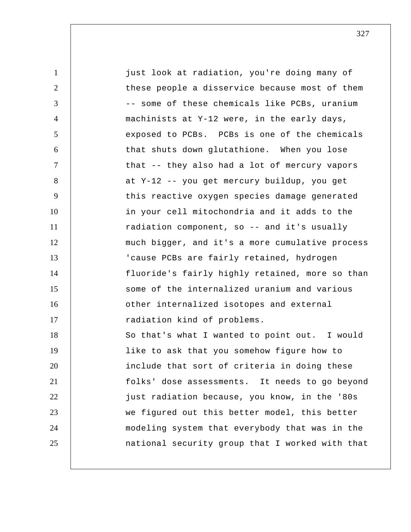1 2 3 4 5 6 7 8 9 10 11 12 13 14 15 16 17 18 19 20 21 22 23 24 25 just look at radiation, you're doing many of these people a disservice because most of them -- some of these chemicals like PCBs, uranium machinists at Y-12 were, in the early days, exposed to PCBs. PCBs is one of the chemicals that shuts down glutathione. When you lose that -- they also had a lot of mercury vapors at Y-12 -- you get mercury buildup, you get this reactive oxygen species damage generated in your cell mitochondria and it adds to the radiation component, so -- and it's usually much bigger, and it's a more cumulative process 'cause PCBs are fairly retained, hydrogen fluoride's fairly highly retained, more so than some of the internalized uranium and various other internalized isotopes and external radiation kind of problems. So that's what I wanted to point out. I would like to ask that you somehow figure how to include that sort of criteria in doing these folks' dose assessments. It needs to go beyond just radiation because, you know, in the '80s we figured out this better model, this better modeling system that everybody that was in the national security group that I worked with that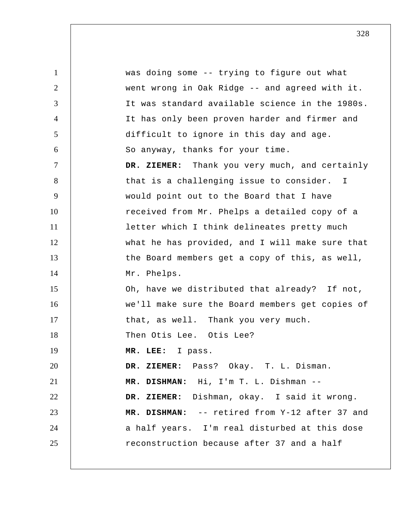1 2 3 4 5 6 7 8 9 10 11 12 13 14 15 16 17 18 19 20 21 22 23 24 25 was doing some -- trying to figure out what went wrong in Oak Ridge -- and agreed with it. It was standard available science in the 1980s. It has only been proven harder and firmer and difficult to ignore in this day and age. So anyway, thanks for your time.  **DR. ZIEMER:** Thank you very much, and certainly that is a challenging issue to consider. I would point out to the Board that I have received from Mr. Phelps a detailed copy of a letter which I think delineates pretty much what he has provided, and I will make sure that the Board members get a copy of this, as well, Mr. Phelps. Oh, have we distributed that already? If not, we'll make sure the Board members get copies of that, as well. Thank you very much. Then Otis Lee. Otis Lee?  **MR. LEE:** I pass.  **DR. ZIEMER:** Pass? Okay. T. L. Disman.  **MR. DISHMAN:** Hi, I'm T. L. Dishman -- **DR. ZIEMER:** Dishman, okay. I said it wrong.  **MR. DISHMAN:** -- retired from Y-12 after 37 and a half years. I'm real disturbed at this dose reconstruction because after 37 and a half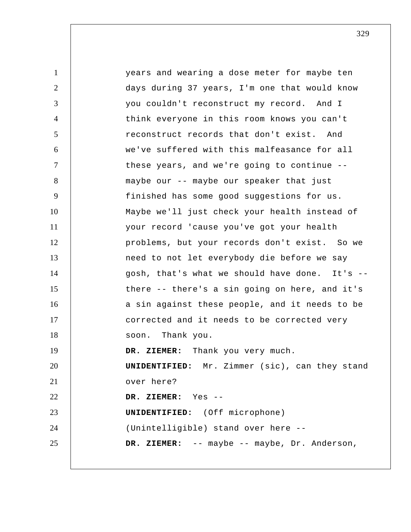1 2 3 4 5 6 7 8 9 10 11 12 13 14 15 16 17 18 19 20 21 22 23 24 25 years and wearing a dose meter for maybe ten days during 37 years, I'm one that would know you couldn't reconstruct my record. And I think everyone in this room knows you can't reconstruct records that don't exist. And we've suffered with this malfeasance for all these years, and we're going to continue - maybe our -- maybe our speaker that just finished has some good suggestions for us. Maybe we'll just check your health instead of your record 'cause you've got your health problems, but your records don't exist. So we need to not let everybody die before we say gosh, that's what we should have done. It's - there -- there's a sin going on here, and it's a sin against these people, and it needs to be corrected and it needs to be corrected very soon. Thank you.  **DR. ZIEMER:** Thank you very much. **UNIDENTIFIED:** Mr. Zimmer (sic), can they stand over here?  **DR. ZIEMER:** Yes --**UNIDENTIFIED:** (Off microphone) (Unintelligible) stand over here --  **DR. ZIEMER:** -- maybe -- maybe, Dr. Anderson,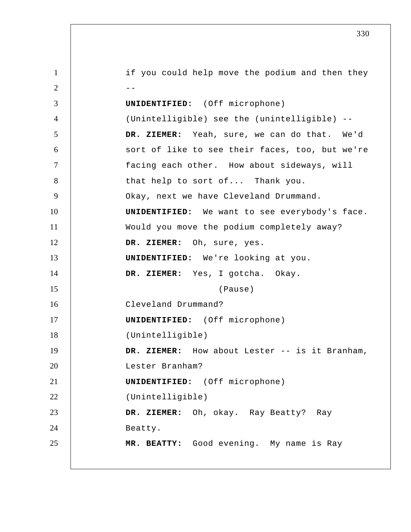1 2  $-$ 3 4 5 6 7 8 9 10 11 12 13 14 15 16 17 18 19 20 21 22 23 24 25 if you could help move the podium and then they **UNIDENTIFIED:** (Off microphone) (Unintelligible) see the (unintelligible) --  **DR. ZIEMER:** Yeah, sure, we can do that. We'd sort of like to see their faces, too, but we're facing each other. How about sideways, will that help to sort of... Thank you. Okay, next we have Cleveland Drummand. **UNIDENTIFIED:** We want to see everybody's face. Would you move the podium completely away?  **DR. ZIEMER:** Oh, sure, yes. **UNIDENTIFIED:** We're looking at you.  **DR. ZIEMER:** Yes, I gotcha. Okay. (Pause) Cleveland Drummand? **UNIDENTIFIED:** (Off microphone) (Unintelligible)  **DR. ZIEMER:** How about Lester -- is it Branham, Lester Branham? **UNIDENTIFIED:** (Off microphone) (Unintelligible)  **DR. ZIEMER:** Oh, okay. Ray Beatty? Ray Beatty.  **MR. BEATTY:** Good evening. My name is Ray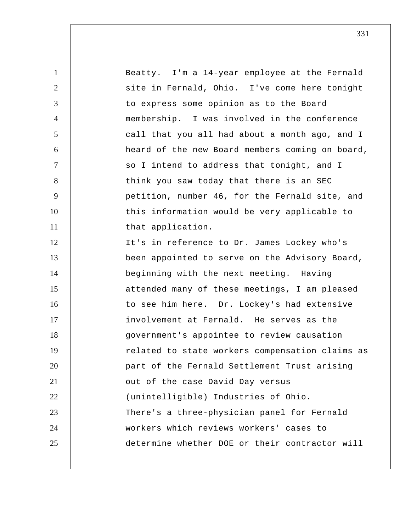| $\mathbf{1}$   | Beatty. I'm a 14-year employee at the Fernald   |
|----------------|-------------------------------------------------|
| 2              | site in Fernald, Ohio. I've come here tonight   |
| 3              | to express some opinion as to the Board         |
| $\overline{4}$ | membership. I was involved in the conference    |
| 5              | call that you all had about a month ago, and I  |
| 6              | heard of the new Board members coming on board, |
| $\tau$         | so I intend to address that tonight, and I      |
| 8              | think you saw today that there is an SEC        |
| 9              | petition, number 46, for the Fernald site, and  |
| 10             | this information would be very applicable to    |
| 11             | that application.                               |
| 12             | It's in reference to Dr. James Lockey who's     |
| 13             | been appointed to serve on the Advisory Board,  |
| 14             | beginning with the next meeting. Having         |
| 15             | attended many of these meetings, I am pleased   |
| 16             | to see him here. Dr. Lockey's had extensive     |
| 17             | involvement at Fernald. He serves as the        |
| 18             | government's appointee to review causation      |
| 19             | related to state workers compensation claims as |
| 20             | part of the Fernald Settlement Trust arising    |
| 21             | out of the case David Day versus                |
| 22             | (unintelligible) Industries of Ohio.            |
| 23             | There's a three-physician panel for Fernald     |
| 24             | workers which reviews workers' cases to         |
| 25             | determine whether DOE or their contractor will  |
|                |                                                 |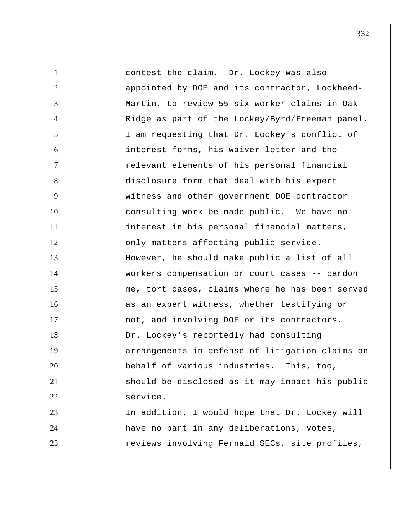1 2 3 4 5 6 7 8 9 10 11 12 13 14 15 16 17 18 19 20 21 22 23 24 25 contest the claim. Dr. Lockey was also appointed by DOE and its contractor, Lockheed-Martin, to review 55 six worker claims in Oak Ridge as part of the Lockey/Byrd/Freeman panel. I am requesting that Dr. Lockey's conflict of interest forms, his waiver letter and the relevant elements of his personal financial disclosure form that deal with his expert witness and other government DOE contractor consulting work be made public. We have no interest in his personal financial matters, only matters affecting public service. However, he should make public a list of all workers compensation or court cases -- pardon me, tort cases, claims where he has been served as an expert witness, whether testifying or not, and involving DOE or its contractors. Dr. Lockey's reportedly had consulting arrangements in defense of litigation claims on behalf of various industries. This, too, should be disclosed as it may impact his public service. In addition, I would hope that Dr. Lockey will have no part in any deliberations, votes, reviews involving Fernald SECs, site profiles,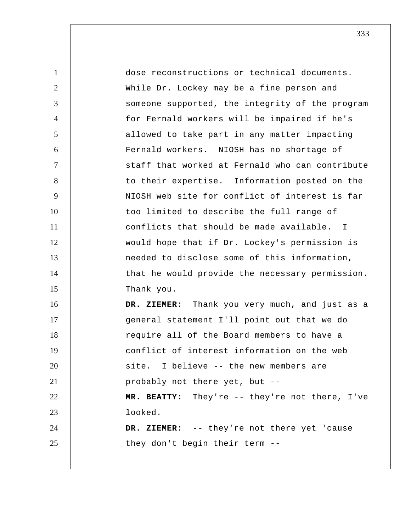1 2 3 4 5 6 7 8 9 10 11 12 13 14 15 16 17 18 19 20 21 22 23 24 25 dose reconstructions or technical documents. While Dr. Lockey may be a fine person and someone supported, the integrity of the program for Fernald workers will be impaired if he's allowed to take part in any matter impacting Fernald workers. NIOSH has no shortage of staff that worked at Fernald who can contribute to their expertise. Information posted on the NIOSH web site for conflict of interest is far too limited to describe the full range of conflicts that should be made available. I would hope that if Dr. Lockey's permission is needed to disclose some of this information, that he would provide the necessary permission. Thank you.  **DR. ZIEMER:** Thank you very much, and just as a general statement I'll point out that we do require all of the Board members to have a conflict of interest information on the web site. I believe -- the new members are probably not there yet, but --  **MR. BEATTY:** They're -- they're not there, I've looked.  **DR. ZIEMER:** -- they're not there yet 'cause they don't begin their term --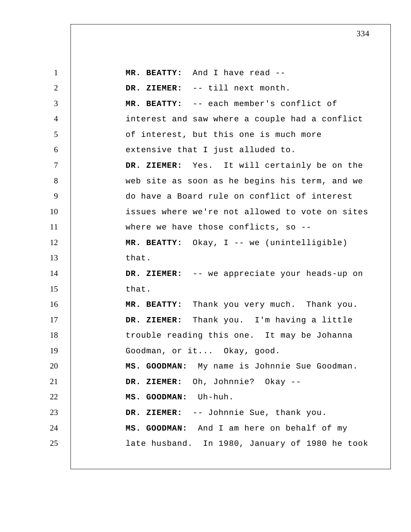1 2 3 4 5 6 7 8 9 10 11 12 13 14 15 16 17 18 19 20 21 22 23 24 25  **MR. BEATTY:** And I have read --  **DR. ZIEMER:** -- till next month.  **MR. BEATTY:** -- each member's conflict of interest and saw where a couple had a conflict of interest, but this one is much more extensive that I just alluded to.  **DR. ZIEMER:** Yes. It will certainly be on the web site as soon as he begins his term, and we do have a Board rule on conflict of interest issues where we're not allowed to vote on sites where we have those conflicts, so -- **MR. BEATTY:** Okay, I -- we (unintelligible) that.  **DR. ZIEMER:** -- we appreciate your heads-up on that.  **MR. BEATTY:** Thank you very much. Thank you.  **DR. ZIEMER:** Thank you. I'm having a little trouble reading this one. It may be Johanna Goodman, or it... Okay, good.  **MS. GOODMAN:** My name is Johnnie Sue Goodman.  **DR. ZIEMER:** Oh, Johnnie? Okay --  **MS. GOODMAN:** Uh-huh.  **DR. ZIEMER:** -- Johnnie Sue, thank you.  **MS. GOODMAN:** And I am here on behalf of my late husband. In 1980, January of 1980 he took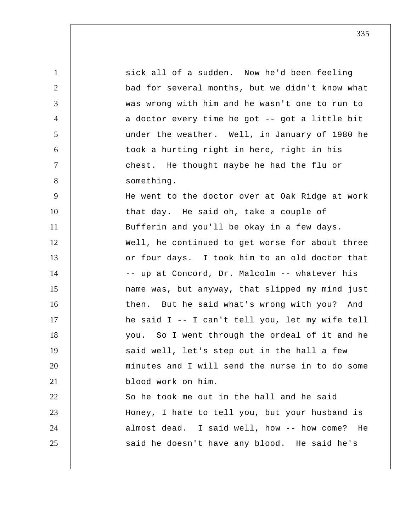1 2 3 4 5 6 7 8 9 10 11 12 13 14 15 16 17 18 19 20 21 22 23 24 25 sick all of a sudden. Now he'd been feeling bad for several months, but we didn't know what was wrong with him and he wasn't one to run to a doctor every time he got -- got a little bit under the weather. Well, in January of 1980 he took a hurting right in here, right in his chest. He thought maybe he had the flu or something. He went to the doctor over at Oak Ridge at work that day. He said oh, take a couple of Bufferin and you'll be okay in a few days. Well, he continued to get worse for about three or four days. I took him to an old doctor that -- up at Concord, Dr. Malcolm -- whatever his name was, but anyway, that slipped my mind just then. But he said what's wrong with you? And he said I -- I can't tell you, let my wife tell you. So I went through the ordeal of it and he said well, let's step out in the hall a few minutes and I will send the nurse in to do some blood work on him. So he took me out in the hall and he said Honey, I hate to tell you, but your husband is almost dead. I said well, how -- how come? He said he doesn't have any blood. He said he's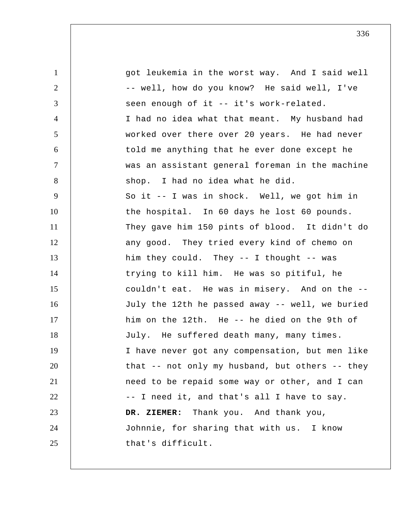1 2 3 4 5 6 7 8 9 10 11 12 13 14 15 16 17 18 19 20 21 22 23 24 25 got leukemia in the worst way. And I said well -- well, how do you know? He said well, I've seen enough of it -- it's work-related. I had no idea what that meant. My husband had worked over there over 20 years. He had never told me anything that he ever done except he was an assistant general foreman in the machine shop. I had no idea what he did. So it -- I was in shock. Well, we got him in the hospital. In 60 days he lost 60 pounds. They gave him 150 pints of blood. It didn't do any good. They tried every kind of chemo on him they could. They -- I thought -- was trying to kill him. He was so pitiful, he couldn't eat. He was in misery. And on the -- July the 12th he passed away -- well, we buried him on the 12th. He -- he died on the 9th of July. He suffered death many, many times. I have never got any compensation, but men like that -- not only my husband, but others -- they need to be repaid some way or other, and I can -- I need it, and that's all I have to say.  **DR. ZIEMER:** Thank you. And thank you, Johnnie, for sharing that with us. I know that's difficult.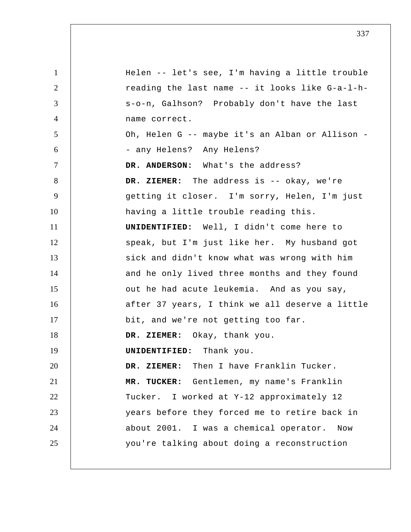1 2 3 4 5 6 7 8 9 10 11 12 13 14 15 16 17 18 19 20 21 22 23 24 25 Helen -- let's see, I'm having a little trouble reading the last name -- it looks like G-a-l-hs-o-n, Galhson? Probably don't have the last name correct. Oh, Helen G -- maybe it's an Alban or Allison -- any Helens? Any Helens? **DR. ANDERSON:** What's the address?  **DR. ZIEMER:** The address is -- okay, we're getting it closer. I'm sorry, Helen, I'm just having a little trouble reading this. **UNIDENTIFIED:** Well, I didn't come here to speak, but I'm just like her. My husband got sick and didn't know what was wrong with him and he only lived three months and they found out he had acute leukemia. And as you say, after 37 years, I think we all deserve a little bit, and we're not getting too far.  **DR. ZIEMER:** Okay, thank you. **UNIDENTIFIED:** Thank you.  **DR. ZIEMER:** Then I have Franklin Tucker.  **MR. TUCKER:** Gentlemen, my name's Franklin Tucker. I worked at Y-12 approximately 12 years before they forced me to retire back in about 2001. I was a chemical operator. Now you're talking about doing a reconstruction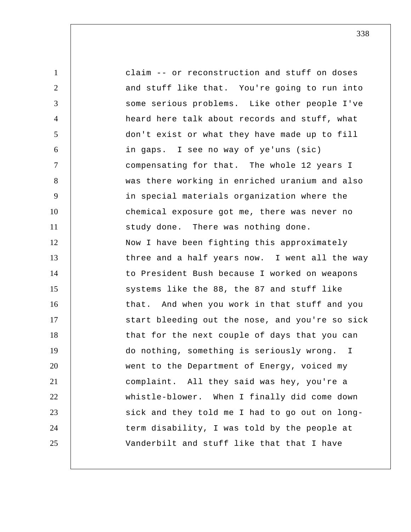1 2 3 4 5 6 7 8 9 10 11 12 13 14 15 16 17 18 19 20 21 22 23 24 25 claim -- or reconstruction and stuff on doses and stuff like that. You're going to run into some serious problems. Like other people I've heard here talk about records and stuff, what don't exist or what they have made up to fill in gaps. I see no way of ye'uns (sic) compensating for that. The whole 12 years I was there working in enriched uranium and also in special materials organization where the chemical exposure got me, there was never no study done. There was nothing done. Now I have been fighting this approximately three and a half years now. I went all the way to President Bush because I worked on weapons systems like the 88, the 87 and stuff like that. And when you work in that stuff and you start bleeding out the nose, and you're so sick that for the next couple of days that you can do nothing, something is seriously wrong. I went to the Department of Energy, voiced my complaint. All they said was hey, you're a whistle-blower. When I finally did come down sick and they told me I had to go out on longterm disability, I was told by the people at Vanderbilt and stuff like that that I have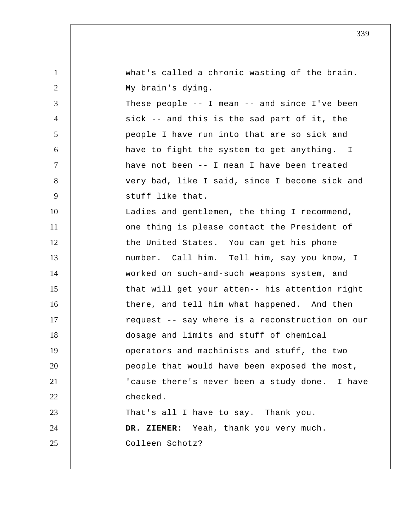| $\mathbf{1}$   | what's called a chronic wasting of the brain.     |
|----------------|---------------------------------------------------|
| 2              | My brain's dying.                                 |
| 3              | These people $--$ I mean $--$ and since I've been |
| 4              | sick -- and this is the sad part of it, the       |
| 5              | people I have run into that are so sick and       |
| 6              | have to fight the system to get anything. I       |
| $\overline{7}$ | have not been -- I mean I have been treated       |
| 8              | very bad, like I said, since I become sick and    |
| 9              | stuff like that.                                  |
| 10             | Ladies and gentlemen, the thing I recommend,      |
| 11             | one thing is please contact the President of      |
| 12             | the United States. You can get his phone          |
| 13             | number. Call him. Tell him, say you know, I       |
| 14             | worked on such-and-such weapons system, and       |
| 15             | that will get your atten-- his attention right    |
| 16             | there, and tell him what happened. And then       |
| 17             | request -- say where is a reconstruction on our   |
| 18             | dosage and limits and stuff of chemical           |
| 19             | operators and machinists and stuff, the two       |
| 20             | people that would have been exposed the most,     |
| 21             | 'cause there's never been a study done. I have    |
| 22             | checked.                                          |
| 23             | That's all I have to say. Thank you.              |
| 24             | DR. ZIEMER: Yeah, thank you very much.            |
| 25             | Colleen Schotz?                                   |
|                |                                                   |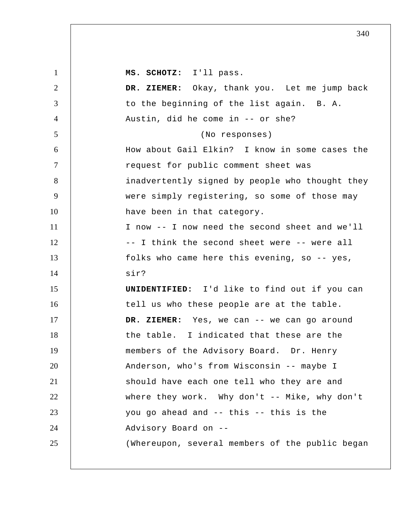1 2 3 4 5 6 7 8 9 10 11 12 13 14 15 16 17 18 19 20 21 22 23 24 25  **MS. SCHOTZ:** I'll pass.  **DR. ZIEMER:** Okay, thank you. Let me jump back to the beginning of the list again. B. A. Austin, did he come in -- or she? (No responses) How about Gail Elkin? I know in some cases the request for public comment sheet was inadvertently signed by people who thought they were simply registering, so some of those may have been in that category. I now -- I now need the second sheet and we'll -- I think the second sheet were -- were all folks who came here this evening, so -- yes, sir? **UNIDENTIFIED:** I'd like to find out if you can tell us who these people are at the table.  **DR. ZIEMER:** Yes, we can -- we can go around the table. I indicated that these are the members of the Advisory Board. Dr. Henry Anderson, who's from Wisconsin -- maybe I should have each one tell who they are and where they work. Why don't -- Mike, why don't you go ahead and -- this -- this is the Advisory Board on --(Whereupon, several members of the public began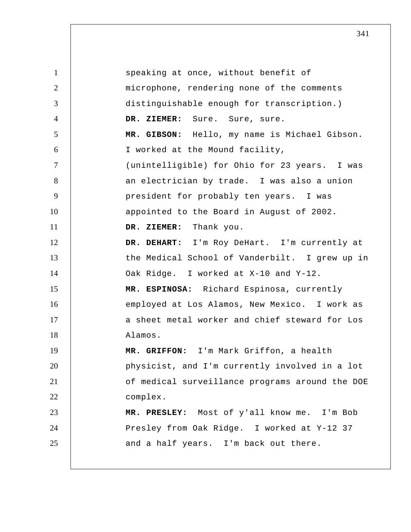1 2 3 4 5 6 7 8 9 10 11 12 13 14 15 16 17 18 19 20 21 22 23 24 25 speaking at once, without benefit of microphone, rendering none of the comments distinguishable enough for transcription.) DR. ZIEMER: Sure. Sure, sure.  **MR. GIBSON:** Hello, my name is Michael Gibson. I worked at the Mound facility, (unintelligible) for Ohio for 23 years. I was an electrician by trade. I was also a union president for probably ten years. I was appointed to the Board in August of 2002.  **DR. ZIEMER:** Thank you.  **DR. DEHART:** I'm Roy DeHart. I'm currently at the Medical School of Vanderbilt. I grew up in Oak Ridge. I worked at X-10 and Y-12. **MR. ESPINOSA:** Richard Espinosa, currently employed at Los Alamos, New Mexico. I work as a sheet metal worker and chief steward for Los Alamos.  **MR. GRIFFON:** I'm Mark Griffon, a health physicist, and I'm currently involved in a lot of medical surveillance programs around the DOE complex.  **MR. PRESLEY:** Most of y'all know me. I'm Bob Presley from Oak Ridge. I worked at Y-12 37 and a half years. I'm back out there.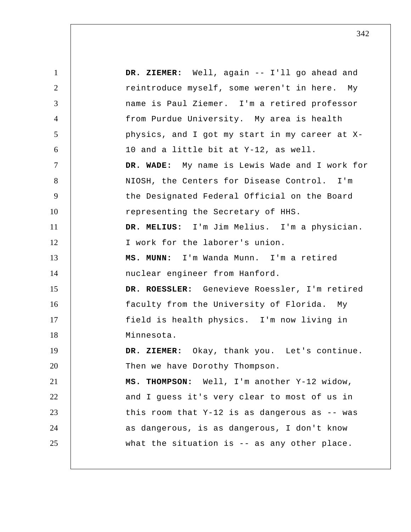1 2 3 4 5 6 7 8 9 10 11 12 13 14 15 16 17 18 19 20 21 22 23 24 25  **DR. ZIEMER:** Well, again -- I'll go ahead and reintroduce myself, some weren't in here. My name is Paul Ziemer. I'm a retired professor from Purdue University. My area is health physics, and I got my start in my career at X-10 and a little bit at Y-12, as well.  **DR. WADE:** My name is Lewis Wade and I work for NIOSH, the Centers for Disease Control. I'm the Designated Federal Official on the Board representing the Secretary of HHS.  **DR. MELIUS:** I'm Jim Melius. I'm a physician. I work for the laborer's union.  **MS. MUNN:** I'm Wanda Munn. I'm a retired nuclear engineer from Hanford. **DR. ROESSLER:** Genevieve Roessler, I'm retired faculty from the University of Florida. My field is health physics. I'm now living in Minnesota.  **DR. ZIEMER:** Okay, thank you. Let's continue. Then we have Dorothy Thompson. **MS. THOMPSON:** Well, I'm another Y-12 widow, and I guess it's very clear to most of us in this room that Y-12 is as dangerous as -- was as dangerous, is as dangerous, I don't know what the situation is -- as any other place.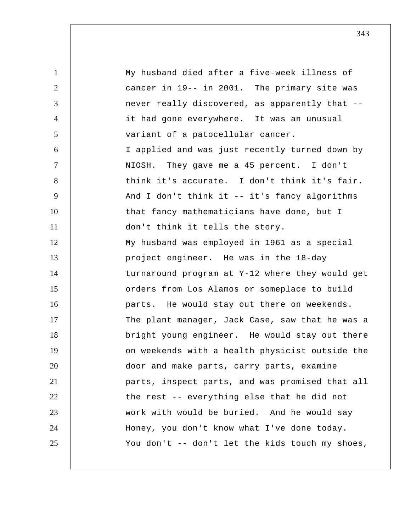1 2 3 4 5 6 7 8 9 10 11 12 13 14 15 16 17 18 19 20 21 22 23 24 25 My husband died after a five-week illness of cancer in 19-- in 2001. The primary site was never really discovered, as apparently that - it had gone everywhere. It was an unusual variant of a patocellular cancer. I applied and was just recently turned down by NIOSH. They gave me a 45 percent. I don't think it's accurate. I don't think it's fair. And I don't think it -- it's fancy algorithms that fancy mathematicians have done, but I don't think it tells the story. My husband was employed in 1961 as a special project engineer. He was in the 18-day turnaround program at Y-12 where they would get orders from Los Alamos or someplace to build parts. He would stay out there on weekends. The plant manager, Jack Case, saw that he was a bright young engineer. He would stay out there on weekends with a health physicist outside the door and make parts, carry parts, examine parts, inspect parts, and was promised that all the rest -- everything else that he did not work with would be buried. And he would say Honey, you don't know what I've done today. You don't -- don't let the kids touch my shoes,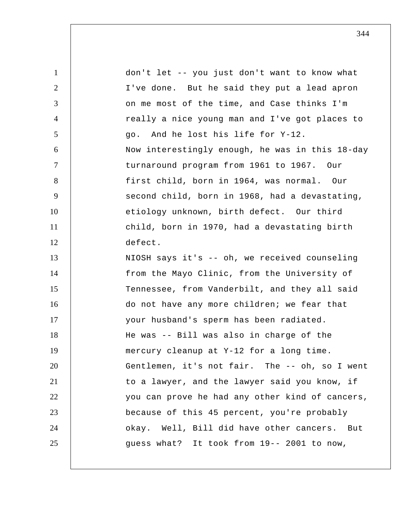| $\mathbf{1}$   | don't let -- you just don't want to know what   |
|----------------|-------------------------------------------------|
| $\overline{2}$ | I've done. But he said they put a lead apron    |
| 3              | on me most of the time, and Case thinks I'm     |
| $\overline{4}$ | really a nice young man and I've got places to  |
| $\mathfrak{S}$ | go. And he lost his life for Y-12.              |
| 6              | Now interestingly enough, he was in this 18-day |
| $\tau$         | turnaround program from 1961 to 1967. Our       |
| 8              | first child, born in 1964, was normal. Our      |
| 9              | second child, born in 1968, had a devastating,  |
| 10             | etiology unknown, birth defect. Our third       |
| 11             | child, born in 1970, had a devastating birth    |
| 12             | defect.                                         |
| 13             | NIOSH says it's -- oh, we received counseling   |
| 14             | from the Mayo Clinic, from the University of    |
| 15             | Tennessee, from Vanderbilt, and they all said   |
| 16             | do not have any more children; we fear that     |
| 17             | your husband's sperm has been radiated.         |
| 18             | He was -- Bill was also in charge of the        |
| 19             | mercury cleanup at Y-12 for a long time.        |
| 20             | Gentlemen, it's not fair. The -- oh, so I went  |
| 21             | to a lawyer, and the lawyer said you know, if   |
| 22             | you can prove he had any other kind of cancers, |
| 23             | because of this 45 percent, you're probably     |
| 24             | okay. Well, Bill did have other cancers. But    |
| 25             | guess what? It took from 19-- 2001 to now,      |
|                |                                                 |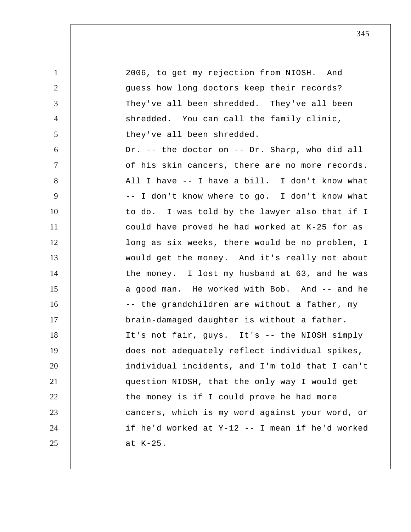1 2 3 4 5 6 7 8 9 10 11 12 13 14 15 16 17 18 19 20 21 22 23 24 25 2006, to get my rejection from NIOSH. And guess how long doctors keep their records? They've all been shredded. They've all been shredded. You can call the family clinic, they've all been shredded. Dr. -- the doctor on -- Dr. Sharp, who did all of his skin cancers, there are no more records. All I have -- I have a bill. I don't know what -- I don't know where to go. I don't know what to do. I was told by the lawyer also that if I could have proved he had worked at K-25 for as long as six weeks, there would be no problem, I would get the money. And it's really not about the money. I lost my husband at 63, and he was a good man. He worked with Bob. And -- and he -- the grandchildren are without a father, my brain-damaged daughter is without a father. It's not fair, guys. It's -- the NIOSH simply does not adequately reflect individual spikes, individual incidents, and I'm told that I can't question NIOSH, that the only way I would get the money is if I could prove he had more cancers, which is my word against your word, or if he'd worked at Y-12 -- I mean if he'd worked at K-25.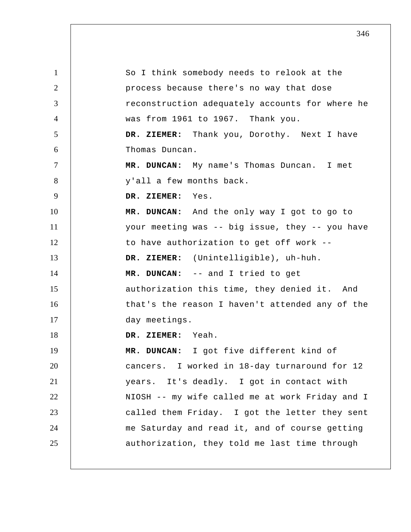| $\mathbf{1}$   | So I think somebody needs to relook at the      |
|----------------|-------------------------------------------------|
| 2              | process because there's no way that dose        |
| 3              | reconstruction adequately accounts for where he |
| $\overline{4}$ | was from 1961 to 1967. Thank you.               |
| 5              | DR. ZIEMER: Thank you, Dorothy. Next I have     |
| 6              | Thomas Duncan.                                  |
| $\tau$         | MR. DUNCAN: My name's Thomas Duncan. I met      |
| 8              | y'all a few months back.                        |
| 9              | DR. ZIEMER: Yes.                                |
| 10             | MR. DUNCAN: And the only way I got to go to     |
| 11             | your meeting was -- big issue, they -- you have |
| 12             | to have authorization to get off work --        |
| 13             | DR. ZIEMER: (Unintelligible), uh-huh.           |
| 14             | MR. DUNCAN: -- and I tried to get               |
| 15             | authorization this time, they denied it. And    |
| 16             | that's the reason I haven't attended any of the |
| 17             | day meetings.                                   |
| 18             | DR. ZIEMER: Yeah.                               |
| 19             | MR. DUNCAN: I got five different kind of        |
| 20             | cancers. I worked in 18-day turnaround for 12   |
| 21             | years. It's deadly. I got in contact with       |
| 22             | NIOSH -- my wife called me at work Friday and I |
| 23             | called them Friday. I got the letter they sent  |
| 24             | me Saturday and read it, and of course getting  |
| 25             | authorization, they told me last time through   |
|                |                                                 |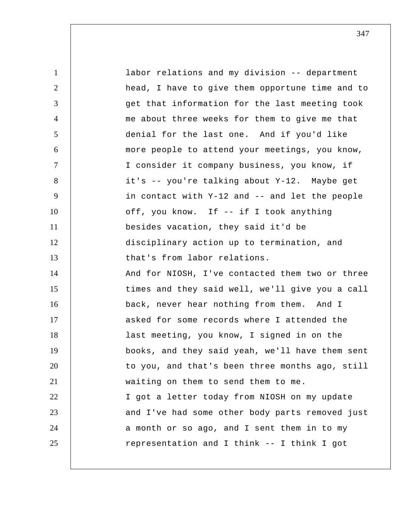1 2 3 4 5 6 7 8 9 10 11 12 13 14 15 16 17 18 19 20 21 22 23 24 25 labor relations and my division -- department head, I have to give them opportune time and to get that information for the last meeting took me about three weeks for them to give me that denial for the last one. And if you'd like more people to attend your meetings, you know, I consider it company business, you know, if it's -- you're talking about Y-12. Maybe get in contact with Y-12 and -- and let the people off, you know. If -- if I took anything besides vacation, they said it'd be disciplinary action up to termination, and that's from labor relations. And for NIOSH, I've contacted them two or three times and they said well, we'll give you a call back, never hear nothing from them. And I asked for some records where I attended the last meeting, you know, I signed in on the books, and they said yeah, we'll have them sent to you, and that's been three months ago, still waiting on them to send them to me. I got a letter today from NIOSH on my update and I've had some other body parts removed just a month or so ago, and I sent them in to my representation and I think -- I think I got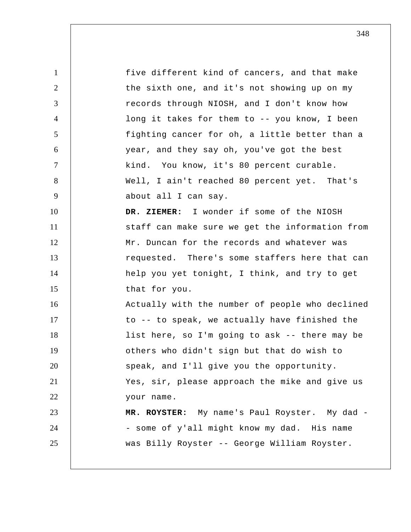1 2 3 4 5 6 7 8 9 10 11 12 13 14 15 16 17 18 19 20 21 22 23 24 25 five different kind of cancers, and that make the sixth one, and it's not showing up on my records through NIOSH, and I don't know how long it takes for them to -- you know, I been fighting cancer for oh, a little better than a year, and they say oh, you've got the best kind. You know, it's 80 percent curable. Well, I ain't reached 80 percent yet. That's about all I can say.  **DR. ZIEMER:** I wonder if some of the NIOSH staff can make sure we get the information from Mr. Duncan for the records and whatever was requested. There's some staffers here that can help you yet tonight, I think, and try to get that for you. Actually with the number of people who declined to -- to speak, we actually have finished the list here, so I'm going to ask -- there may be others who didn't sign but that do wish to speak, and I'll give you the opportunity. Yes, sir, please approach the mike and give us your name.  **MR. ROYSTER:** My name's Paul Royster. My dad - some of y'all might know my dad. His name was Billy Royster -- George William Royster.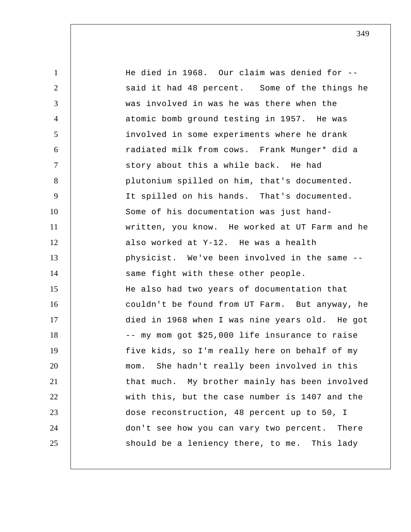1 2 3 4 5 6 7 8 9 10 11 12 13 14 15 16 17 18 19 20 21 22 23 24 25 He died in 1968. Our claim was denied for - said it had 48 percent. Some of the things he was involved in was he was there when the atomic bomb ground testing in 1957. He was involved in some experiments where he drank radiated milk from cows. Frank Munger\* did a story about this a while back. He had plutonium spilled on him, that's documented. It spilled on his hands. That's documented. Some of his documentation was just handwritten, you know. He worked at UT Farm and he also worked at Y-12. He was a health physicist. We've been involved in the same - same fight with these other people. He also had two years of documentation that couldn't be found from UT Farm. But anyway, he died in 1968 when I was nine years old. He got -- my mom got \$25,000 life insurance to raise five kids, so I'm really here on behalf of my mom. She hadn't really been involved in this that much. My brother mainly has been involved with this, but the case number is 1407 and the dose reconstruction, 48 percent up to 50, I don't see how you can vary two percent. There should be a leniency there, to me. This lady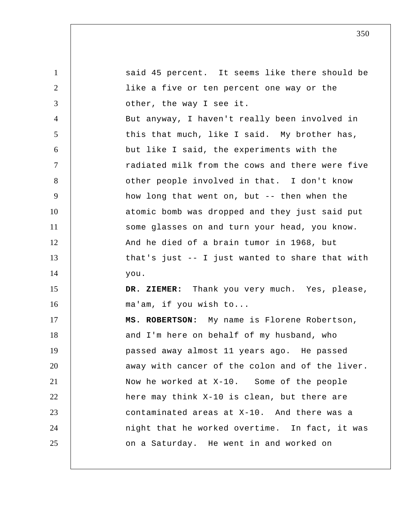| $\mathbf{1}$   | said 45 percent. It seems like there should be  |
|----------------|-------------------------------------------------|
| 2              | like a five or ten percent one way or the       |
| 3              | other, the way I see it.                        |
| $\overline{4}$ | But anyway, I haven't really been involved in   |
| 5              | this that much, like I said. My brother has,    |
| 6              | but like I said, the experiments with the       |
| $\overline{7}$ | radiated milk from the cows and there were five |
| 8              | other people involved in that. I don't know     |
| 9              | how long that went on, but -- then when the     |
| 10             | atomic bomb was dropped and they just said put  |
| 11             | some glasses on and turn your head, you know.   |
| 12             | And he died of a brain tumor in 1968, but       |
| 13             | that's just -- I just wanted to share that with |
| 14             | you.                                            |
| 15             | DR. ZIEMER: Thank you very much. Yes, please,   |
| 16             | ma'am, if you wish to                           |
| 17             | MS. ROBERTSON: My name is Florene Robertson,    |
| 18             | and I'm here on behalf of my husband, who       |
| 19             | passed away almost 11 years ago. He passed      |
| 20             | away with cancer of the colon and of the liver. |
| 21             | Now he worked at X-10. Some of the people       |
| 22             | here may think X-10 is clean, but there are     |
| 23             | contaminated areas at X-10. And there was a     |
| 24             | night that he worked overtime. In fact, it was  |
| 25             | on a Saturday. He went in and worked on         |
|                |                                                 |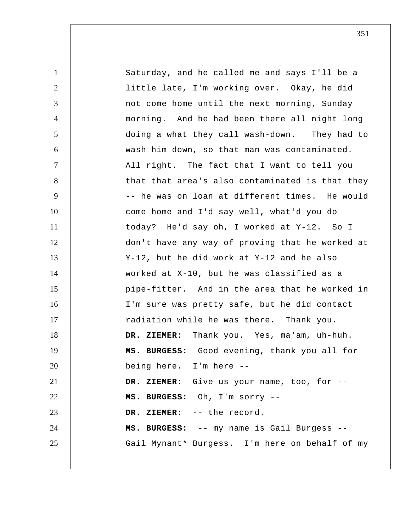| $\mathbf{1}$   | Saturday, and he called me and says I'll be a   |
|----------------|-------------------------------------------------|
| $\overline{2}$ | little late, I'm working over. Okay, he did     |
| 3              | not come home until the next morning, Sunday    |
| $\overline{4}$ | morning. And he had been there all night long   |
| 5              | doing a what they call wash-down. They had to   |
| 6              | wash him down, so that man was contaminated.    |
| $\tau$         | All right. The fact that I want to tell you     |
| 8              | that that area's also contaminated is that they |
| 9              | -- he was on loan at different times. He would  |
| 10             | come home and I'd say well, what'd you do       |
| 11             | today? He'd say oh, I worked at Y-12. So I      |
| 12             | don't have any way of proving that he worked at |
| 13             | Y-12, but he did work at Y-12 and he also       |
| 14             | worked at X-10, but he was classified as a      |
| 15             | pipe-fitter. And in the area that he worked in  |
| 16             | I'm sure was pretty safe, but he did contact    |
| 17             | radiation while he was there. Thank you.        |
| 18             | Thank you. Yes, ma'am, uh-huh.<br>DR. ZIEMER:   |
| 19             | MS. BURGESS: Good evening, thank you all for    |
| 20             | being here. I'm here --                         |
| 21             | DR. ZIEMER: Give us your name, too, for --      |
| 22             | MS. BURGESS: Oh, I'm sorry --                   |
| 23             | DR. ZIEMER: -- the record.                      |
| 24             | MS. BURGESS: -- my name is Gail Burgess --      |
| 25             | Gail Mynant* Burgess. I'm here on behalf of my  |
|                |                                                 |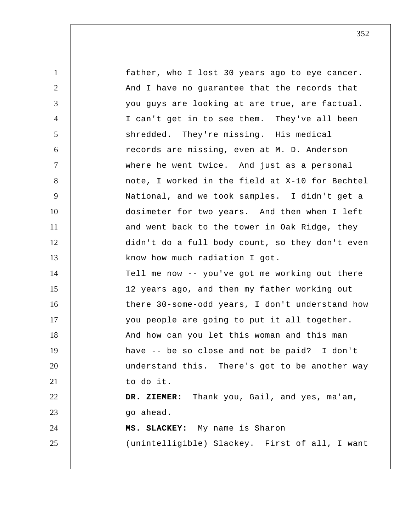1 2 3 4 5 6 7 8 9 10 11 12 13 14 15 16 17 18 19 20 21 22 23 24 25 father, who I lost 30 years ago to eye cancer. And I have no guarantee that the records that you guys are looking at are true, are factual. I can't get in to see them. They've all been shredded. They're missing. His medical records are missing, even at M. D. Anderson where he went twice. And just as a personal note, I worked in the field at X-10 for Bechtel National, and we took samples. I didn't get a dosimeter for two years. And then when I left and went back to the tower in Oak Ridge, they didn't do a full body count, so they don't even know how much radiation I got. Tell me now -- you've got me working out there 12 years ago, and then my father working out there 30-some-odd years, I don't understand how you people are going to put it all together. And how can you let this woman and this man have -- be so close and not be paid? I don't understand this. There's got to be another way to do it.  **DR. ZIEMER:** Thank you, Gail, and yes, ma'am, go ahead.  **MS. SLACKEY:** My name is Sharon (unintelligible) Slackey. First of all, I want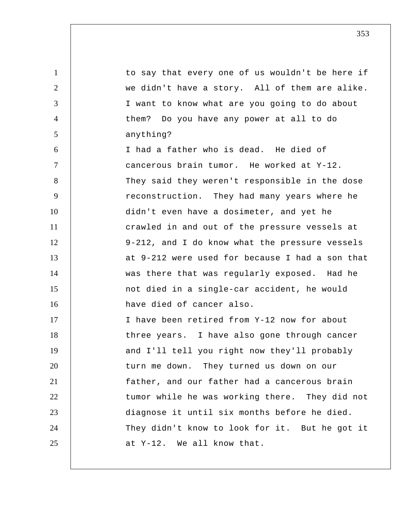1 2 3 4 5 6 7 8 9 10 11 12 13 14 15 16 17 18 19 20 21 22 23 24 25 to say that every one of us wouldn't be here if we didn't have a story. All of them are alike. I want to know what are you going to do about them? Do you have any power at all to do anything? I had a father who is dead. He died of cancerous brain tumor. He worked at Y-12. They said they weren't responsible in the dose reconstruction. They had many years where he didn't even have a dosimeter, and yet he crawled in and out of the pressure vessels at 9-212, and I do know what the pressure vessels at 9-212 were used for because I had a son that was there that was regularly exposed. Had he not died in a single-car accident, he would have died of cancer also. I have been retired from Y-12 now for about three years. I have also gone through cancer and I'll tell you right now they'll probably turn me down. They turned us down on our father, and our father had a cancerous brain tumor while he was working there. They did not diagnose it until six months before he died. They didn't know to look for it. But he got it at Y-12. We all know that.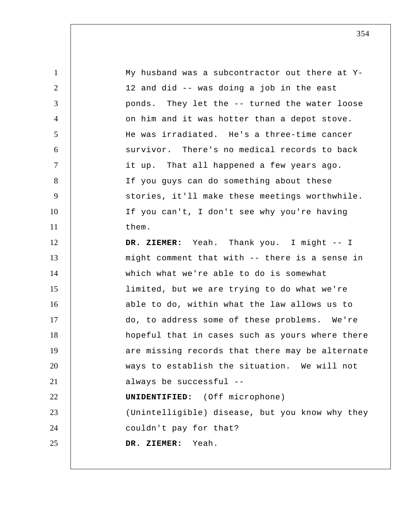1 2 3 4 5 6 7 8 9 10 11 12 13 14 15 16 17 18 19 20 21 22 23 24 25 My husband was a subcontractor out there at Y-12 and did -- was doing a job in the east ponds. They let the -- turned the water loose on him and it was hotter than a depot stove. He was irradiated. He's a three-time cancer survivor. There's no medical records to back it up. That all happened a few years ago. If you guys can do something about these stories, it'll make these meetings worthwhile. If you can't, I don't see why you're having them.  **DR. ZIEMER:** Yeah. Thank you. I might -- I might comment that with -- there is a sense in which what we're able to do is somewhat limited, but we are trying to do what we're able to do, within what the law allows us to do, to address some of these problems. We're hopeful that in cases such as yours where there are missing records that there may be alternate ways to establish the situation. We will not always be successful -- **UNIDENTIFIED:** (Off microphone) (Unintelligible) disease, but you know why they couldn't pay for that?  **DR. ZIEMER:** Yeah.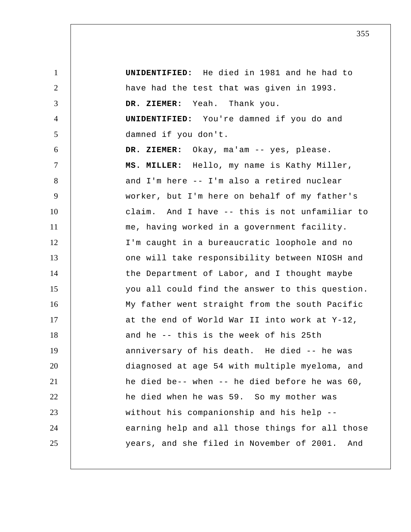1 2 3 4 5 6 7 8 9 10 11 12 13 14 15 16 17 18 19 20 21 22 23 24 25  **UNIDENTIFIED:** He died in 1981 and he had to have had the test that was given in 1993.  **DR. ZIEMER:** Yeah. Thank you. **UNIDENTIFIED:** You're damned if you do and damned if you don't.  **DR. ZIEMER:** Okay, ma'am -- yes, please.  **MS. MILLER:** Hello, my name is Kathy Miller, and I'm here -- I'm also a retired nuclear worker, but I'm here on behalf of my father's claim. And I have -- this is not unfamiliar to me, having worked in a government facility. I'm caught in a bureaucratic loophole and no one will take responsibility between NIOSH and the Department of Labor, and I thought maybe you all could find the answer to this question. My father went straight from the south Pacific at the end of World War II into work at Y-12, and he -- this is the week of his 25th anniversary of his death. He died -- he was diagnosed at age 54 with multiple myeloma, and he died be-- when -- he died before he was 60, he died when he was 59. So my mother was without his companionship and his help - earning help and all those things for all those years, and she filed in November of 2001. And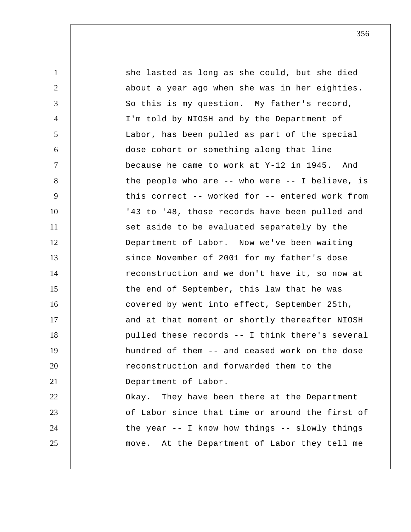1 2 3 4 5 6 7 8 9 10 11 12 13 14 15 16 17 18 19 20 21 22 23 24 25 she lasted as long as she could, but she died about a year ago when she was in her eighties. So this is my question. My father's record, I'm told by NIOSH and by the Department of Labor, has been pulled as part of the special dose cohort or something along that line because he came to work at Y-12 in 1945. And the people who are -- who were -- I believe, is this correct -- worked for -- entered work from '43 to '48, those records have been pulled and set aside to be evaluated separately by the Department of Labor. Now we've been waiting since November of 2001 for my father's dose reconstruction and we don't have it, so now at the end of September, this law that he was covered by went into effect, September 25th, and at that moment or shortly thereafter NIOSH pulled these records -- I think there's several hundred of them -- and ceased work on the dose reconstruction and forwarded them to the Department of Labor. Okay. They have been there at the Department of Labor since that time or around the first of the year -- I know how things -- slowly things move. At the Department of Labor they tell me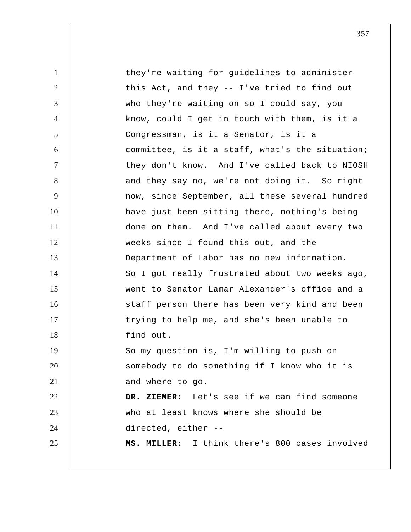1 2 3 4 5 6 7 8 9 10 11 12 13 14 15 16 17 18 19 20 21 22 23 24 25 they're waiting for guidelines to administer this Act, and they -- I've tried to find out who they're waiting on so I could say, you know, could I get in touch with them, is it a Congressman, is it a Senator, is it a committee, is it a staff, what's the situation; they don't know. And I've called back to NIOSH and they say no, we're not doing it. So right now, since September, all these several hundred have just been sitting there, nothing's being done on them. And I've called about every two weeks since I found this out, and the Department of Labor has no new information. So I got really frustrated about two weeks ago, went to Senator Lamar Alexander's office and a staff person there has been very kind and been trying to help me, and she's been unable to find out. So my question is, I'm willing to push on somebody to do something if I know who it is and where to go.  **DR. ZIEMER:** Let's see if we can find someone who at least knows where she should be directed, either -- **MS. MILLER:** I think there's 800 cases involved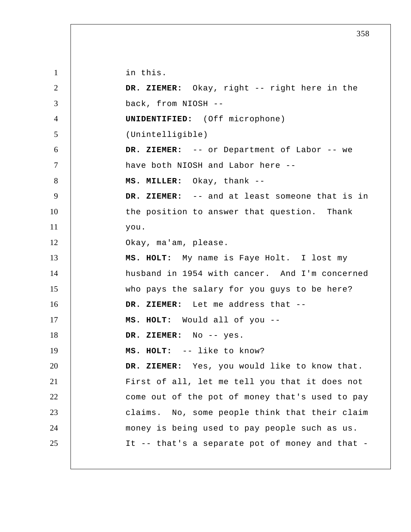1 2 3 4 5 6 7 8 9 10 11 12 13 14 15 16 17 18 19 20 21 22 23 24 25 in this.  **DR. ZIEMER:** Okay, right -- right here in the back, from NIOSH --**UNIDENTIFIED:** (Off microphone) (Unintelligible)  **DR. ZIEMER:** -- or Department of Labor -- we have both NIOSH and Labor here --  **MS. MILLER:** Okay, thank -- **DR. ZIEMER:** -- and at least someone that is in the position to answer that question. Thank you. Okay, ma'am, please.  **MS. HOLT:** My name is Faye Holt. I lost my husband in 1954 with cancer. And I'm concerned who pays the salary for you guys to be here?  **DR. ZIEMER:** Let me address that -- **MS. HOLT:** Would all of you -- **DR. ZIEMER:** No -- yes.  **MS. HOLT:** -- like to know?  **DR. ZIEMER:** Yes, you would like to know that. First of all, let me tell you that it does not come out of the pot of money that's used to pay claims. No, some people think that their claim money is being used to pay people such as us. It -- that's a separate pot of money and that -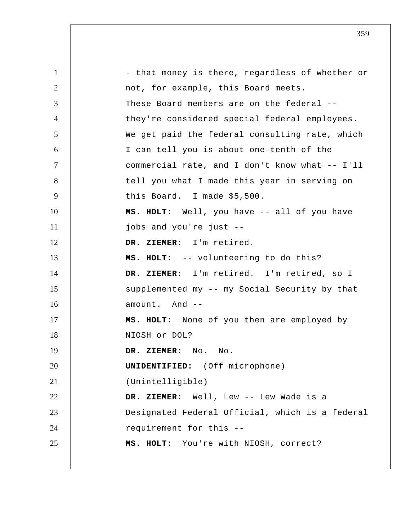1 2 3 4 5 6 7 8 9 10 11 12 13 14 15 16 17 18 19 20 21 22 23 24 25 - that money is there, regardless of whether or not, for example, this Board meets. These Board members are on the federal - they're considered special federal employees. We get paid the federal consulting rate, which I can tell you is about one-tenth of the commercial rate, and I don't know what -- I'll tell you what I made this year in serving on this Board. I made \$5,500.  **MS. HOLT:** Well, you have -- all of you have jobs and you're just --  **DR. ZIEMER:** I'm retired.  **MS. HOLT:** -- volunteering to do this?  **DR. ZIEMER:** I'm retired. I'm retired, so I supplemented my -- my Social Security by that amount. And -- **MS. HOLT:** None of you then are employed by NIOSH or DOL?  **DR. ZIEMER:** No. No. **UNIDENTIFIED:** (Off microphone) (Unintelligible)  **DR. ZIEMER:** Well, Lew -- Lew Wade is a Designated Federal Official, which is a federal requirement for this --  **MS. HOLT:** You're with NIOSH, correct?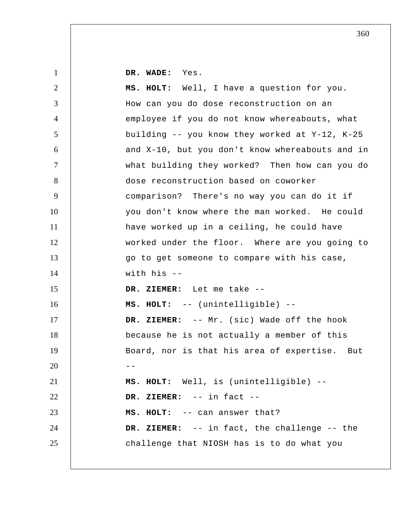**DR. WADE:** Yes.

1

2 3 4 5 6 7 8 9 10 11 12 13 14 15 16 17 18 19  $20$   $-$ 21 22 23 24 25  **MS. HOLT:** Well, I have a question for you. How can you do dose reconstruction on an employee if you do not know whereabouts, what building -- you know they worked at Y-12, K-25 and X-10, but you don't know whereabouts and in what building they worked? Then how can you do dose reconstruction based on coworker comparison? There's no way you can do it if you don't know where the man worked. He could have worked up in a ceiling, he could have worked under the floor. Where are you going to go to get someone to compare with his case, with his -- **DR. ZIEMER:** Let me take -- **MS. HOLT:** -- (unintelligible) -- **DR. ZIEMER:** -- Mr. (sic) Wade off the hook because he is not actually a member of this Board, nor is that his area of expertise. But  **MS. HOLT:** Well, is (unintelligible) --  **DR. ZIEMER:** -- in fact -- **MS. HOLT:** -- can answer that?  **DR. ZIEMER:** -- in fact, the challenge -- the challenge that NIOSH has is to do what you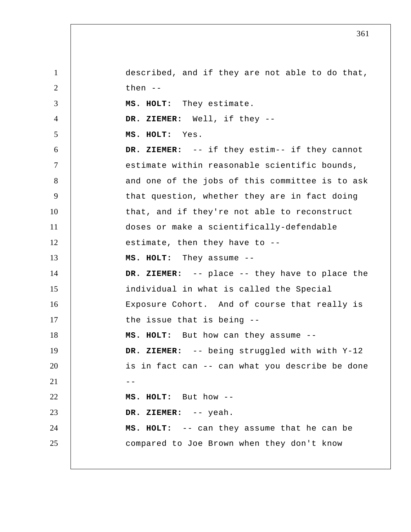1 2 3 4 5 6 7 8 9 10 11 12 13 14 15 16 17 18 19 20  $21$   $-$ 22 23 24 25 described, and if they are not able to do that, then -- **MS. HOLT:** They estimate.  **DR. ZIEMER:** Well, if they -- **MS. HOLT:** Yes.  **DR. ZIEMER:** -- if they estim-- if they cannot estimate within reasonable scientific bounds, and one of the jobs of this committee is to ask that question, whether they are in fact doing that, and if they're not able to reconstruct doses or make a scientifically-defendable estimate, then they have to --  **MS. HOLT:** They assume -- **DR. ZIEMER:** -- place -- they have to place the individual in what is called the Special Exposure Cohort. And of course that really is the issue that is being --  **MS. HOLT:** But how can they assume --  **DR. ZIEMER:** -- being struggled with with Y-12 is in fact can -- can what you describe be done  **MS. HOLT:** But how -- **DR. ZIEMER:** -- yeah.  **MS. HOLT:** -- can they assume that he can be compared to Joe Brown when they don't know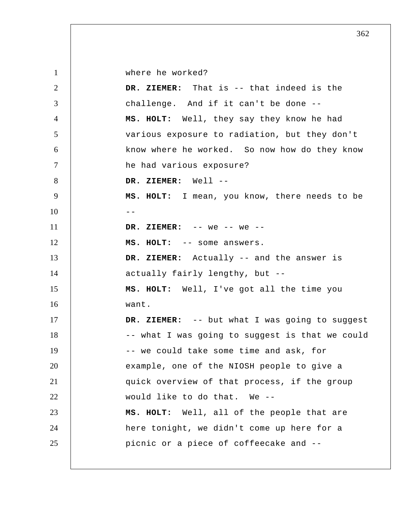1 2 3 4 5 6 7 8 9  $10$  --11 12 13 14 15 16 17 18 19 20 21 22 23 24 25 where he worked?  **DR. ZIEMER:** That is -- that indeed is the challenge. And if it can't be done --  **MS. HOLT:** Well, they say they know he had various exposure to radiation, but they don't know where he worked. So now how do they know he had various exposure?  **DR. ZIEMER:** Well -- **MS. HOLT:** I mean, you know, there needs to be  **DR. ZIEMER:** -- we -- we -- **MS. HOLT:** -- some answers.  **DR. ZIEMER:** Actually -- and the answer is actually fairly lengthy, but --  **MS. HOLT:** Well, I've got all the time you want.  **DR. ZIEMER:** -- but what I was going to suggest -- what I was going to suggest is that we could -- we could take some time and ask, for example, one of the NIOSH people to give a quick overview of that process, if the group would like to do that. We -- **MS. HOLT:** Well, all of the people that are here tonight, we didn't come up here for a picnic or a piece of coffeecake and --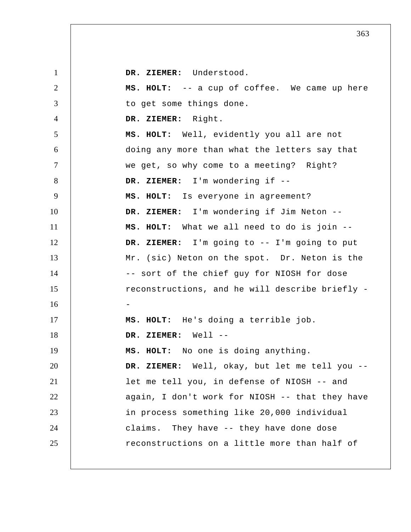| $\mathbf{1}$   | DR. ZIEMER: Understood.                         |
|----------------|-------------------------------------------------|
| $\overline{2}$ | MS. HOLT: -- a cup of coffee. We came up here   |
| 3              | to get some things done.                        |
| $\overline{4}$ | DR. ZIEMER: Right.                              |
| 5              | MS. HOLT: Well, evidently you all are not       |
| 6              | doing any more than what the letters say that   |
| $\tau$         | we get, so why come to a meeting? Right?        |
| 8              | DR. ZIEMER: I'm wondering if --                 |
| 9              | MS. HOLT: Is everyone in agreement?             |
| 10             | DR. ZIEMER: I'm wondering if Jim Neton --       |
| 11             | MS. HOLT: What we all need to do is join --     |
| 12             | DR. ZIEMER: I'm going to -- I'm going to put    |
| 13             | Mr. (sic) Neton on the spot. Dr. Neton is the   |
| 14             | -- sort of the chief guy for NIOSH for dose     |
| 15             | reconstructions, and he will describe briefly - |
| 16             |                                                 |
| 17             | MS. HOLT: He's doing a terrible job.            |
| 18             | DR. ZIEMER: Well --                             |
| 19             | MS. HOLT: No one is doing anything.             |
| 20             | DR. ZIEMER: Well, okay, but let me tell you --  |
| 21             | let me tell you, in defense of NIOSH -- and     |
| 22             | again, I don't work for NIOSH -- that they have |
| 23             | in process something like 20,000 individual     |
| 24             | claims. They have -- they have done dose        |
| 25             | reconstructions on a little more than half of   |
|                |                                                 |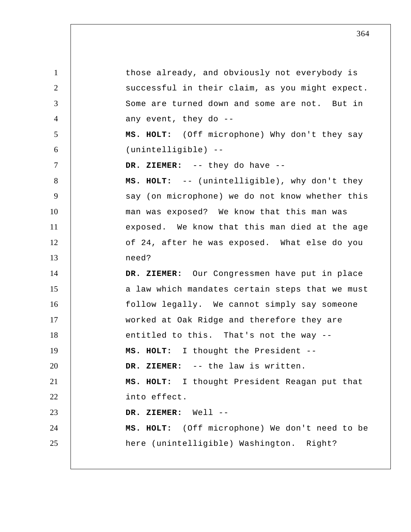1 2 3 4 5 6 7 8 9 10 11 12 13 14 15 16 17 18 19 20 21 22 23 24 25 those already, and obviously not everybody is successful in their claim, as you might expect. Some are turned down and some are not. But in any event, they do --  **MS. HOLT:** (Off microphone) Why don't they say (unintelligible) --  **DR. ZIEMER:** -- they do have -- **MS. HOLT:** -- (unintelligible), why don't they say (on microphone) we do not know whether this man was exposed? We know that this man was exposed. We know that this man died at the age of 24, after he was exposed. What else do you need?  **DR. ZIEMER:** Our Congressmen have put in place a law which mandates certain steps that we must follow legally. We cannot simply say someone worked at Oak Ridge and therefore they are entitled to this. That's not the way -- **MS. HOLT:** I thought the President --  **DR. ZIEMER:** -- the law is written.  **MS. HOLT:** I thought President Reagan put that into effect.  **DR. ZIEMER:** Well -- **MS. HOLT:** (Off microphone) We don't need to be here (unintelligible) Washington. Right?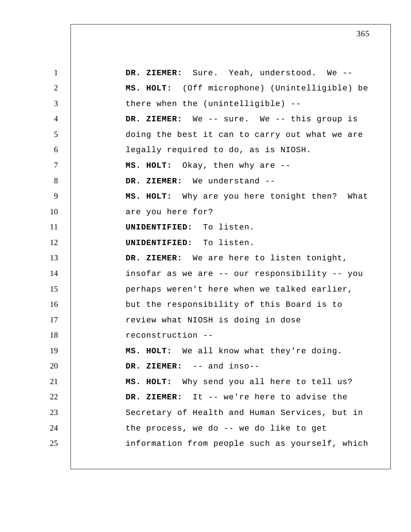1 2 3 4 5 6 7 8 9 10 11 12 13 14 15 16 17 18 19 20 21 22 23 24 25  **DR. ZIEMER:** Sure. Yeah, understood. We -- **MS. HOLT:** (Off microphone) (Unintelligible) be there when the (unintelligible) --  **DR. ZIEMER:** We -- sure. We -- this group is doing the best it can to carry out what we are legally required to do, as is NIOSH.  **MS. HOLT:** Okay, then why are -- **DR. ZIEMER:** We understand -- **MS. HOLT:** Why are you here tonight then? What are you here for? **UNIDENTIFIED:** To listen. **UNIDENTIFIED:** To listen.  **DR. ZIEMER:** We are here to listen tonight, insofar as we are -- our responsibility -- you perhaps weren't here when we talked earlier, but the responsibility of this Board is to review what NIOSH is doing in dose reconstruction -- **MS. HOLT:** We all know what they're doing.  **DR. ZIEMER:** -- and inso--  **MS. HOLT:** Why send you all here to tell us?  **DR. ZIEMER:** It -- we're here to advise the Secretary of Health and Human Services, but in the process, we do -- we do like to get information from people such as yourself, which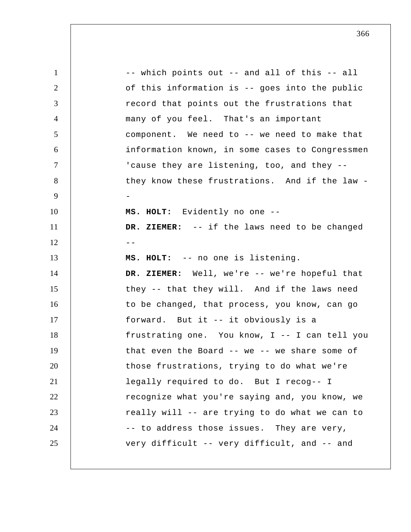1 2 3 4 5 6 7 8 9 10 11  $12$   $-$ 13 14 15 16 17 18 19 20 21 22 23 24 25 -- which points out -- and all of this -- all of this information is -- goes into the public record that points out the frustrations that many of you feel. That's an important component. We need to -- we need to make that information known, in some cases to Congressmen 'cause they are listening, too, and they - they know these frustrations. And if the law - **MS. HOLT:** Evidently no one -- **DR. ZIEMER:** -- if the laws need to be changed  **MS. HOLT:** -- no one is listening.  **DR. ZIEMER:** Well, we're -- we're hopeful that they -- that they will. And if the laws need to be changed, that process, you know, can go forward. But it -- it obviously is a frustrating one. You know, I -- I can tell you that even the Board -- we -- we share some of those frustrations, trying to do what we're legally required to do. But I recog-- I recognize what you're saying and, you know, we really will -- are trying to do what we can to -- to address those issues. They are very, very difficult -- very difficult, and -- and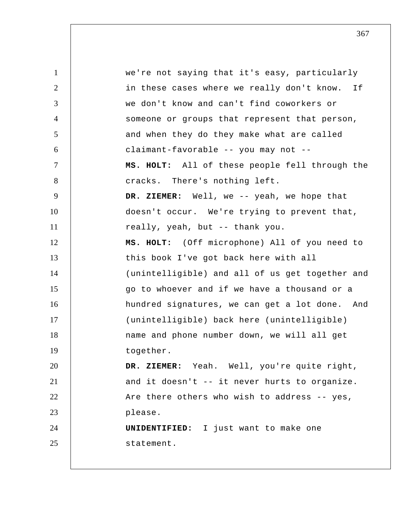1 2 3 4 5 6 7 8 9 10 11 12 13 14 15 16 17 18 19 20 21 22 23 24 25 we're not saying that it's easy, particularly in these cases where we really don't know. If we don't know and can't find coworkers or someone or groups that represent that person, and when they do they make what are called claimant-favorable -- you may not --  **MS. HOLT:** All of these people fell through the cracks. There's nothing left.  **DR. ZIEMER:** Well, we -- yeah, we hope that doesn't occur. We're trying to prevent that, really, yeah, but -- thank you.  **MS. HOLT:** (Off microphone) All of you need to this book I've got back here with all (unintelligible) and all of us get together and go to whoever and if we have a thousand or a hundred signatures, we can get a lot done. And (unintelligible) back here (unintelligible) name and phone number down, we will all get together.  **DR. ZIEMER:** Yeah. Well, you're quite right, and it doesn't -- it never hurts to organize. Are there others who wish to address -- yes, please. **UNIDENTIFIED:** I just want to make one statement.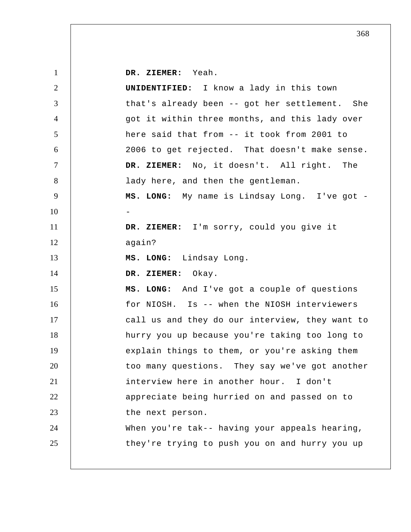1 2 3 4 5 6 7 8 9 10 11 12 13 14 15 16 17 18 19 20 21 22 23 24 25  **DR. ZIEMER:** Yeah. **UNIDENTIFIED:** I know a lady in this town that's already been -- got her settlement. She got it within three months, and this lady over here said that from -- it took from 2001 to 2006 to get rejected. That doesn't make sense.  **DR. ZIEMER:** No, it doesn't. All right. The lady here, and then the gentleman.  **MS. LONG:** My name is Lindsay Long. I've got - **DR. ZIEMER:** I'm sorry, could you give it again?  **MS. LONG:** Lindsay Long.  **DR. ZIEMER:** Okay.  **MS. LONG:** And I've got a couple of questions for NIOSH. Is -- when the NIOSH interviewers call us and they do our interview, they want to hurry you up because you're taking too long to explain things to them, or you're asking them too many questions. They say we've got another interview here in another hour. I don't appreciate being hurried on and passed on to the next person. When you're tak-- having your appeals hearing, they're trying to push you on and hurry you up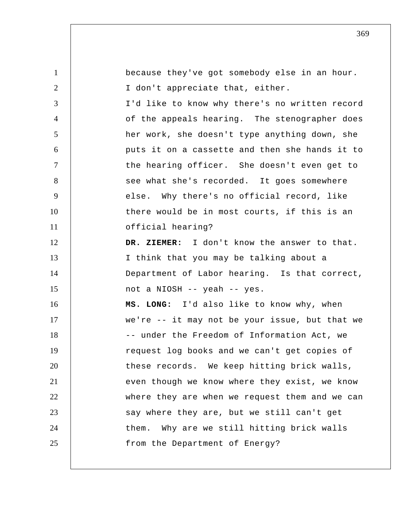| $\mathbf{1}$   | because they've got somebody else in an hour.  |
|----------------|------------------------------------------------|
| $\overline{2}$ | I don't appreciate that, either.               |
| 3              | I'd like to know why there's no written record |
| $\overline{4}$ | of the appeals hearing. The stenographer does  |
| 5              | her work, she doesn't type anything down, she  |
| 6              | puts it on a cassette and then she hands it to |
| $\tau$         | the hearing officer. She doesn't even get to   |
| 8              | see what she's recorded. It goes somewhere     |
| 9              | else. Why there's no official record, like     |
| 10             | there would be in most courts, if this is an   |
| 11             | official hearing?                              |
| 12             | DR. ZIEMER: I don't know the answer to that.   |
| 13             | I think that you may be talking about a        |
| 14             | Department of Labor hearing. Is that correct,  |
| 15             | not a NIOSH -- yeah -- yes.                    |
| 16             | MS. LONG: I'd also like to know why, when      |
| 17             | we're -- it may not be your issue, but that we |
| 18             | -- under the Freedom of Information Act, we    |
| 19             | request log books and we can't get copies of   |
| 20             | these records. We keep hitting brick walls,    |
| 21             | even though we know where they exist, we know  |
| 22             | where they are when we request them and we can |
| 23             | say where they are, but we still can't get     |
| 24             | Why are we still hitting brick walls<br>them.  |
| 25             | from the Department of Energy?                 |
|                |                                                |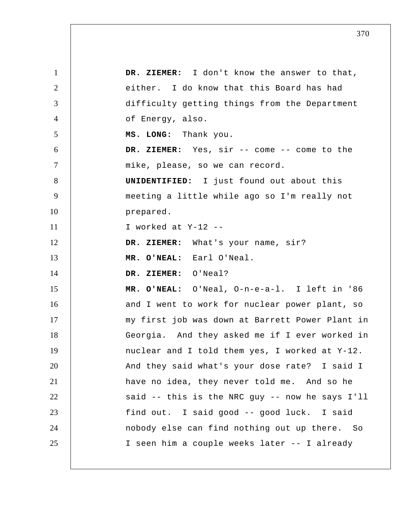| $\mathbf{1}$   | DR. ZIEMER: I don't know the answer to that,     |
|----------------|--------------------------------------------------|
| 2              | either. I do know that this Board has had        |
| 3              | difficulty getting things from the Department    |
| $\overline{4}$ | of Energy, also.                                 |
| 5              | MS. LONG: Thank you.                             |
| 6              | DR. ZIEMER: Yes, sir -- come -- come to the      |
| $\tau$         | mike, please, so we can record.                  |
| 8              | <b>UNIDENTIFIED:</b> I just found out about this |
| 9              | meeting a little while ago so I'm really not     |
| 10             | prepared.                                        |
| 11             | I worked at Y-12 --                              |
| 12             | DR. ZIEMER: What's your name, sir?               |
| 13             | MR. O'NEAL: Earl O'Neal.                         |
| 14             | DR. ZIEMER: O'Neal?                              |
| 15             | MR. O'NEAL: O'Neal, O-n-e-a-1. I left in '86     |
| 16             | and I went to work for nuclear power plant, so   |
| 17             | my first job was down at Barrett Power Plant in  |
| 18             | Georgia. And they asked me if I ever worked in   |
| 19             | nuclear and I told them yes, I worked at Y-12.   |
| 20             | And they said what's your dose rate? I said I    |
| 21             | have no idea, they never told me. And so he      |
| 22             | said -- this is the NRC guy -- now he says I'll  |
| 23             | find out. I said good -- good luck. I said       |
| 24             | nobody else can find nothing out up there. So    |
| 25             | I seen him a couple weeks later -- I already     |
|                |                                                  |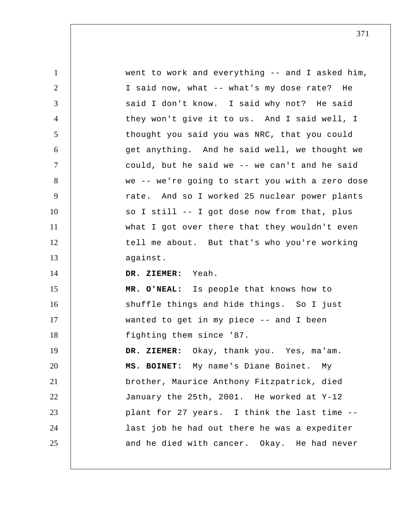| $\mathbf{1}$   | went to work and everything -- and I asked him, |
|----------------|-------------------------------------------------|
| $\overline{2}$ | I said now, what -- what's my dose rate? He     |
| 3              | said I don't know. I said why not? He said      |
| $\overline{4}$ | they won't give it to us. And I said well, I    |
| 5              | thought you said you was NRC, that you could    |
| 6              | get anything. And he said well, we thought we   |
| $\tau$         | could, but he said we -- we can't and he said   |
| 8              | we -- we're going to start you with a zero dose |
| 9              | rate. And so I worked 25 nuclear power plants   |
| 10             | so I still -- I got dose now from that, plus    |
| 11             | what I got over there that they wouldn't even   |
| 12             | tell me about. But that's who you're working    |
| 13             | against.                                        |
| 14             | DR. ZIEMER: Yeah.                               |
| 15             | MR. O'NEAL: Is people that knows how to         |
| 16             | shuffle things and hide things. So I just       |
| 17             | wanted to get in my piece -- and I been         |
| 18             | fighting them since '87.                        |
| 19             | DR. ZIEMER: Okay, thank you. Yes, ma'am.        |
| 20             | MS. BOINET: My name's Diane Boinet. My          |
| 21             | brother, Maurice Anthony Fitzpatrick, died      |
| 22             | January the 25th, 2001. He worked at Y-12       |
| 23             | plant for 27 years. I think the last time --    |
| 24             | last job he had out there he was a expediter    |
| 25             | and he died with cancer. Okay. He had never     |
|                |                                                 |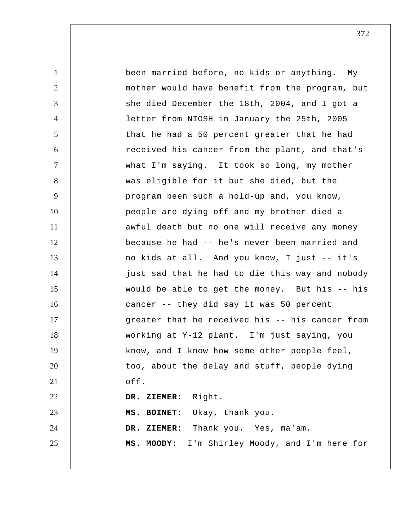1 2 3 4 5 6 7 8 9 10 11 12 13 14 15 16 17 18 19 20 21 22 23 24 25 been married before, no kids or anything. My mother would have benefit from the program, but she died December the 18th, 2004, and I got a letter from NIOSH in January the 25th, 2005 that he had a 50 percent greater that he had received his cancer from the plant, and that's what I'm saying. It took so long, my mother was eligible for it but she died, but the program been such a hold-up and, you know, people are dying off and my brother died a awful death but no one will receive any money because he had -- he's never been married and no kids at all. And you know, I just -- it's just sad that he had to die this way and nobody would be able to get the money. But his -- his cancer -- they did say it was 50 percent greater that he received his -- his cancer from working at Y-12 plant. I'm just saying, you know, and I know how some other people feel, too, about the delay and stuff, people dying off.  **DR. ZIEMER:** Right.  **MS. BOINET:** Okay, thank you.  **DR. ZIEMER:** Thank you. Yes, ma'am. **MS. MOODY:** I'm Shirley Moody, and I'm here for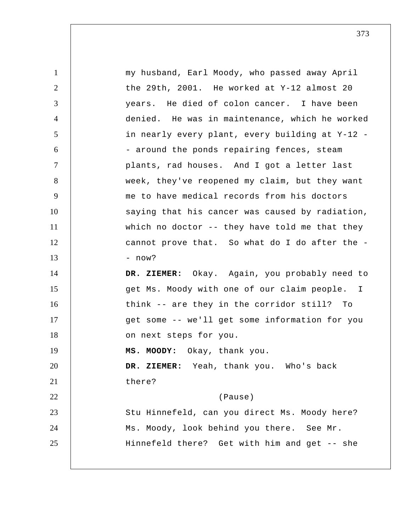| $\mathbf{1}$   | my husband, Earl Moody, who passed away April   |
|----------------|-------------------------------------------------|
| $\overline{2}$ | the 29th, 2001. He worked at Y-12 almost 20     |
| 3              | years. He died of colon cancer. I have been     |
| $\overline{4}$ | denied. He was in maintenance, which he worked  |
| 5              | in nearly every plant, every building at Y-12 - |
| 6              | - around the ponds repairing fences, steam      |
| $\tau$         | plants, rad houses. And I got a letter last     |
| 8              | week, they've reopened my claim, but they want  |
| 9              | me to have medical records from his doctors     |
| 10             | saying that his cancer was caused by radiation, |
| 11             | which no doctor -- they have told me that they  |
| 12             | cannot prove that. So what do I do after the -  |
| 13             | - now?                                          |
| 14             | DR. ZIEMER: Okay. Again, you probably need to   |
| 15             | get Ms. Moody with one of our claim people. I   |
| 16             | think -- are they in the corridor still? To     |
| 17             | get some -- we'll get some information for you  |
| 18             | on next steps for you.                          |
| 19             | MS. MOODY: Okay, thank you.                     |
| 20             | DR. ZIEMER: Yeah, thank you. Who's back         |
| 21             | there?                                          |
| 22             | (Pause)                                         |
| 23             | Stu Hinnefeld, can you direct Ms. Moody here?   |
| 24             | Ms. Moody, look behind you there. See Mr.       |
| 25             | Hinnefeld there? Get with him and get -- she    |
|                |                                                 |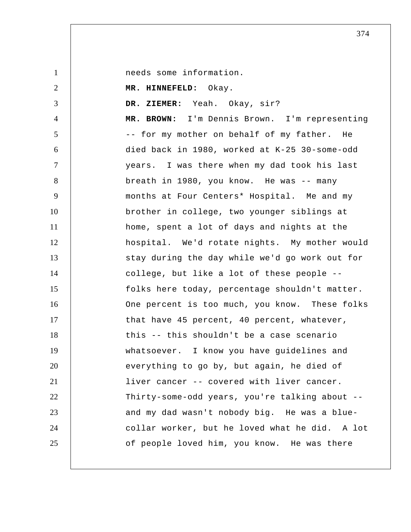needs some information.

 **MR. HINNEFELD:** Okay.

1

2

3

 **DR. ZIEMER:** Yeah. Okay, sir?

4 5 6 7 8 9 10 11 12 13 14 15 16 17 18 19 20 21 22 23 24 25 **MR. BROWN:** I'm Dennis Brown. I'm representing -- for my mother on behalf of my father. He died back in 1980, worked at K-25 30-some-odd years. I was there when my dad took his last breath in 1980, you know. He was -- many months at Four Centers\* Hospital. Me and my brother in college, two younger siblings at home, spent a lot of days and nights at the hospital. We'd rotate nights. My mother would stay during the day while we'd go work out for college, but like a lot of these people - folks here today, percentage shouldn't matter. One percent is too much, you know. These folks that have 45 percent, 40 percent, whatever, this -- this shouldn't be a case scenario whatsoever. I know you have guidelines and everything to go by, but again, he died of liver cancer -- covered with liver cancer. Thirty-some-odd years, you're talking about - and my dad wasn't nobody big. He was a blue collar worker, but he loved what he did. A lot of people loved him, you know. He was there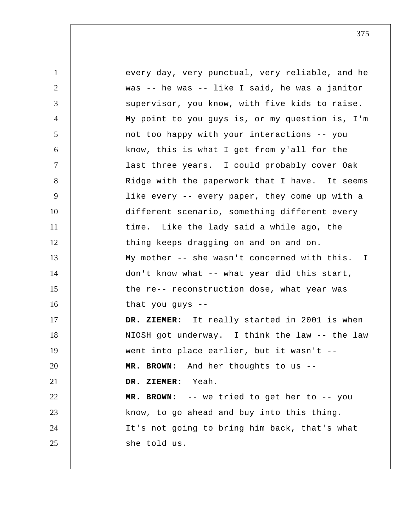1 2 3 4 5 6 7 8 9 10 11 12 13 14 15 16 17 18 19 20 21 22 23 24 25 every day, very punctual, very reliable, and he was -- he was -- like I said, he was a janitor supervisor, you know, with five kids to raise. My point to you guys is, or my question is, I'm not too happy with your interactions -- you know, this is what I get from y'all for the last three years. I could probably cover Oak Ridge with the paperwork that I have. It seems like every -- every paper, they come up with a different scenario, something different every time. Like the lady said a while ago, the thing keeps dragging on and on and on. My mother -- she wasn't concerned with this. don't know what -- what year did this start, the re-- reconstruction dose, what year was that you guys --  **DR. ZIEMER:** It really started in 2001 is when NIOSH got underway. I think the law -- the law went into place earlier, but it wasn't -- **MR. BROWN:** And her thoughts to us --  **DR. ZIEMER:** Yeah. **MR. BROWN:** -- we tried to get her to -- you know, to go ahead and buy into this thing. It's not going to bring him back, that's what she told us. I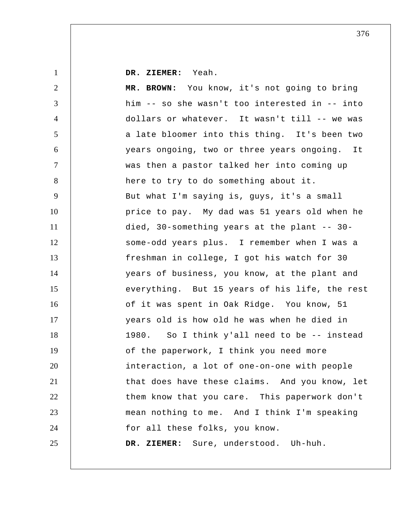**DR. ZIEMER:** Yeah.

1

2 3 4 5 6 7 8 9 10 11 12 13 14 15 16 17 18 19 20 21 22 23 24 25 **MR. BROWN:** You know, it's not going to bring him -- so she wasn't too interested in -- into dollars or whatever. It wasn't till -- we was a late bloomer into this thing. It's been two years ongoing, two or three years ongoing. It was then a pastor talked her into coming up here to try to do something about it. But what I'm saying is, guys, it's a small price to pay. My dad was 51 years old when he died, 30-something years at the plant -- 30 some-odd years plus. I remember when I was a freshman in college, I got his watch for 30 years of business, you know, at the plant and everything. But 15 years of his life, the rest of it was spent in Oak Ridge. You know, 51 years old is how old he was when he died in 1980. So I think y'all need to be -- instead of the paperwork, I think you need more interaction, a lot of one-on-one with people that does have these claims. And you know, let them know that you care. This paperwork don't mean nothing to me. And I think I'm speaking for all these folks, you know.  **DR. ZIEMER:** Sure, understood. Uh-huh.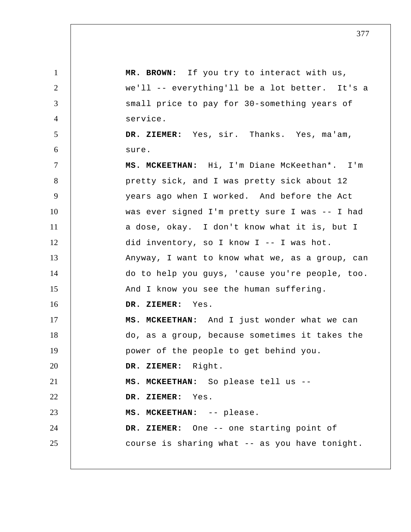1 2 3 4 5 6 7 8 9 10 11 12 13 14 15 16 17 18 19 20 21 22 23 24 25 **MR. BROWN:** If you try to interact with us, we'll -- everything'll be a lot better. It's a small price to pay for 30-something years of service.  **DR. ZIEMER:** Yes, sir. Thanks. Yes, ma'am, sure.  **MS. MCKEETHAN:** Hi, I'm Diane McKeethan\*. I'm pretty sick, and I was pretty sick about 12 years ago when I worked. And before the Act was ever signed I'm pretty sure I was -- I had a dose, okay. I don't know what it is, but I did inventory, so I know I -- I was hot. Anyway, I want to know what we, as a group, can do to help you guys, 'cause you're people, too. And I know you see the human suffering.  **DR. ZIEMER:** Yes.  **MS. MCKEETHAN:** And I just wonder what we can do, as a group, because sometimes it takes the power of the people to get behind you.  **DR. ZIEMER:** Right.  **MS. MCKEETHAN:** So please tell us --  **DR. ZIEMER:** Yes.  **MS. MCKEETHAN:** -- please.  **DR. ZIEMER:** One -- one starting point of course is sharing what -- as you have tonight.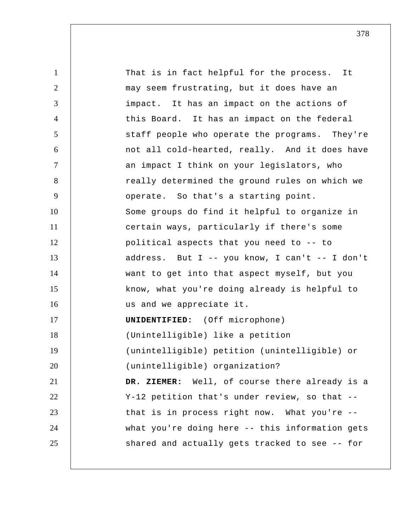1 2 3 4 5 6 7 8 9 10 11 12 13 14 15 16 17 18 19 20 21 22 23 24 25 That is in fact helpful for the process. It may seem frustrating, but it does have an impact. It has an impact on the actions of this Board. It has an impact on the federal staff people who operate the programs. They're not all cold-hearted, really. And it does have an impact I think on your legislators, who really determined the ground rules on which we operate. So that's a starting point. Some groups do find it helpful to organize in certain ways, particularly if there's some political aspects that you need to -- to address. But I -- you know, I can't -- I don't want to get into that aspect myself, but you know, what you're doing already is helpful to us and we appreciate it. **UNIDENTIFIED:** (Off microphone) (Unintelligible) like a petition (unintelligible) petition (unintelligible) or (unintelligible) organization?  **DR. ZIEMER:** Well, of course there already is a Y-12 petition that's under review, so that - that is in process right now. What you're - what you're doing here -- this information gets shared and actually gets tracked to see -- for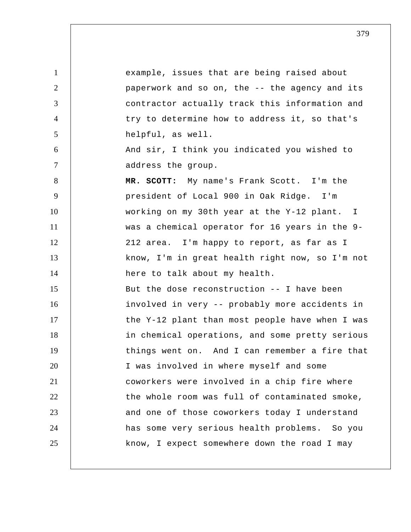1 2 3 4 5 6 7 8 9 10 11 12 13 14 15 16 17 18 19 20 21 22 23 24 25 example, issues that are being raised about paperwork and so on, the -- the agency and its contractor actually track this information and try to determine how to address it, so that's helpful, as well. And sir, I think you indicated you wished to address the group. **MR. SCOTT:** My name's Frank Scott. I'm the president of Local 900 in Oak Ridge. I'm working on my 30th year at the Y-12 plant. I was a chemical operator for 16 years in the 9 212 area. I'm happy to report, as far as I know, I'm in great health right now, so I'm not here to talk about my health. But the dose reconstruction -- I have been involved in very -- probably more accidents in the Y-12 plant than most people have when I was in chemical operations, and some pretty serious things went on. And I can remember a fire that I was involved in where myself and some coworkers were involved in a chip fire where the whole room was full of contaminated smoke, and one of those coworkers today I understand has some very serious health problems. So you know, I expect somewhere down the road I may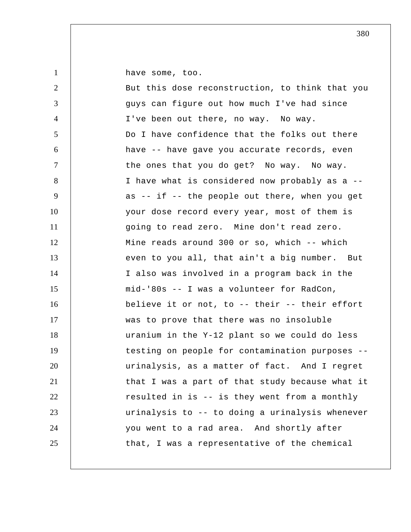1

have some, too.

| $\overline{2}$   | But this dose reconstruction, to think that you |
|------------------|-------------------------------------------------|
| 3                | guys can figure out how much I've had since     |
| $\overline{4}$   | I've been out there, no way. No way.            |
| 5                | Do I have confidence that the folks out there   |
| 6                | have -- have gave you accurate records, even    |
| $\tau$           | the ones that you do get? No way. No way.       |
| 8                | I have what is considered now probably as a --  |
| $\boldsymbol{9}$ | as -- if -- the people out there, when you get  |
| 10               | your dose record every year, most of them is    |
| 11               | going to read zero. Mine don't read zero.       |
| 12               | Mine reads around 300 or so, which -- which     |
| 13               | even to you all, that ain't a big number. But   |
| 14               | I also was involved in a program back in the    |
| 15               | mid-'80s -- I was a volunteer for RadCon,       |
| 16               | believe it or not, to -- their -- their effort  |
| 17               | was to prove that there was no insoluble        |
| 18               | uranium in the Y-12 plant so we could do less   |
| 19               | testing on people for contamination purposes -- |
| 20               | urinalysis, as a matter of fact. And I regret   |
| 21               | that I was a part of that study because what it |
| 22               | resulted in is -- is they went from a monthly   |
| 23               | urinalysis to -- to doing a urinalysis whenever |
| 24               | you went to a rad area. And shortly after       |
| 25               | that, I was a representative of the chemical    |
|                  |                                                 |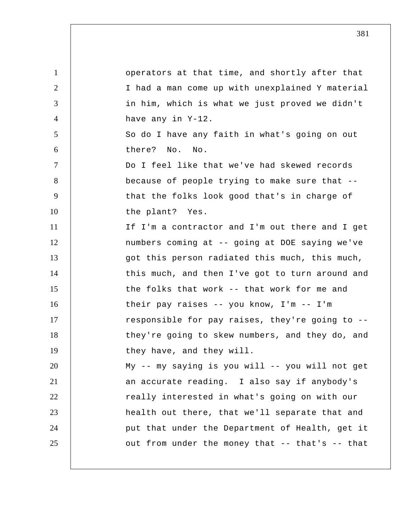1 2 3 4 5 6 7 8 9 10 11 12 13 14 15 16 17 18 19 20 21 22 23 24 25 operators at that time, and shortly after that I had a man come up with unexplained Y material in him, which is what we just proved we didn't have any in Y-12. So do I have any faith in what's going on out there? No. No. Do I feel like that we've had skewed records because of people trying to make sure that - that the folks look good that's in charge of the plant? Yes. If I'm a contractor and I'm out there and I get numbers coming at -- going at DOE saying we've got this person radiated this much, this much, this much, and then I've got to turn around and the folks that work -- that work for me and their pay raises -- you know, I'm -- I'm responsible for pay raises, they're going to - they're going to skew numbers, and they do, and they have, and they will. My -- my saying is you will -- you will not get an accurate reading. I also say if anybody's really interested in what's going on with our health out there, that we'll separate that and put that under the Department of Health, get it out from under the money that -- that's -- that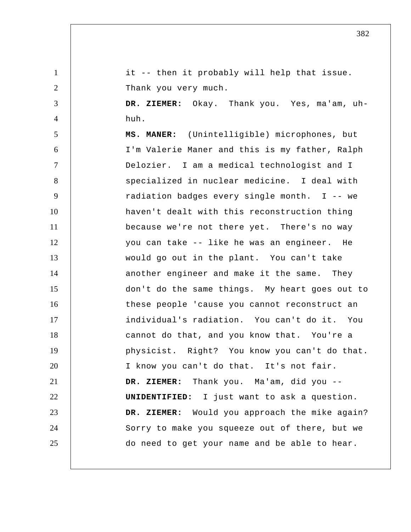1 2 3 4 5 6 7 8 9 10 11 12 13 14 15 16 17 18 19 20 21 22 23 24 25 it -- then it probably will help that issue. Thank you very much.  **DR. ZIEMER:** Okay. Thank you. Yes, ma'am, uhhuh. **MS. MANER:** (Unintelligible) microphones, but I'm Valerie Maner and this is my father, Ralph Delozier. I am a medical technologist and I specialized in nuclear medicine. I deal with radiation badges every single month. I -- we haven't dealt with this reconstruction thing because we're not there yet. There's no way you can take -- like he was an engineer. He would go out in the plant. You can't take another engineer and make it the same. They don't do the same things. My heart goes out to these people 'cause you cannot reconstruct an individual's radiation. You can't do it. You cannot do that, and you know that. You're a physicist. Right? You know you can't do that. I know you can't do that. It's not fair.  **DR. ZIEMER:** Thank you. Ma'am, did you -- **UNIDENTIFIED:** I just want to ask a question.  **DR. ZIEMER:** Would you approach the mike again? Sorry to make you squeeze out of there, but we do need to get your name and be able to hear.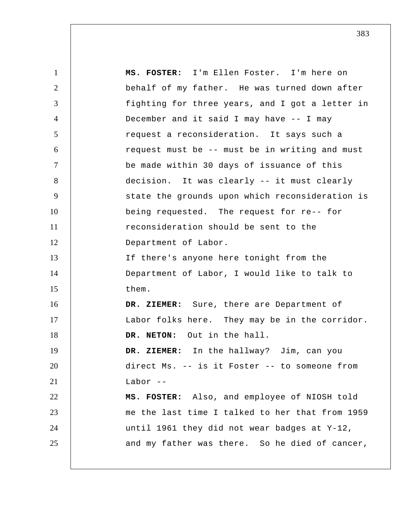1 2 3 4 5 6 7 8 9 10 11 12 13 14 15 16 17 18 19 20 21 22 23 24 25  **MS. FOSTER:** I'm Ellen Foster. I'm here on behalf of my father. He was turned down after fighting for three years, and I got a letter in December and it said I may have -- I may request a reconsideration. It says such a request must be -- must be in writing and must be made within 30 days of issuance of this decision. It was clearly -- it must clearly state the grounds upon which reconsideration is being requested. The request for re-- for reconsideration should be sent to the Department of Labor. If there's anyone here tonight from the Department of Labor, I would like to talk to them.  **DR. ZIEMER:** Sure, there are Department of Labor folks here. They may be in the corridor. **DR. NETON:** Out in the hall.  **DR. ZIEMER:** In the hallway? Jim, can you direct Ms. -- is it Foster -- to someone from Labor  $--$  **MS. FOSTER:** Also, and employee of NIOSH told me the last time I talked to her that from 1959 until 1961 they did not wear badges at Y-12, and my father was there. So he died of cancer,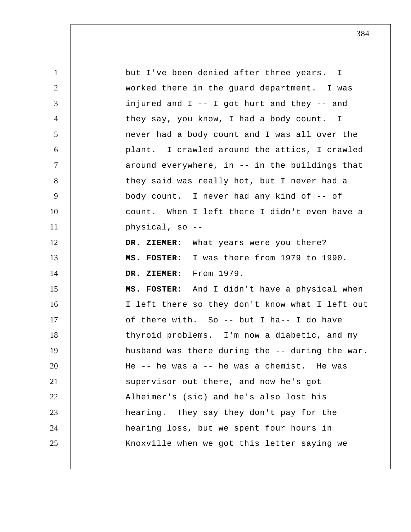1 2 3 4 5 6 7 8 9 10 11 12 13 14 15 16 17 18 19 20 21 22 23 24 25 but I've been denied after three years. I worked there in the guard department. I was injured and I -- I got hurt and they -- and they say, you know, I had a body count. I never had a body count and I was all over the plant. I crawled around the attics, I crawled around everywhere, in -- in the buildings that they said was really hot, but I never had a body count. I never had any kind of -- of count. When I left there I didn't even have a physical, so -- **DR. ZIEMER:** What years were you there?  **MS. FOSTER:** I was there from 1979 to 1990.  **DR. ZIEMER:** From 1979.  **MS. FOSTER:** And I didn't have a physical when I left there so they don't know what I left out of there with. So -- but I ha-- I do have thyroid problems. I'm now a diabetic, and my husband was there during the -- during the war. He -- he was a -- he was a chemist. He was supervisor out there, and now he's got Alheimer's (sic) and he's also lost his hearing. They say they don't pay for the hearing loss, but we spent four hours in Knoxville when we got this letter saying we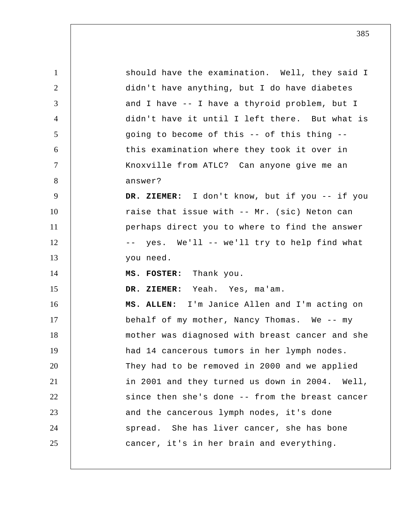| $\mathbf{1}$   | should have the examination. Well, they said I  |
|----------------|-------------------------------------------------|
| $\overline{2}$ | didn't have anything, but I do have diabetes    |
| 3              | and I have -- I have a thyroid problem, but I   |
| $\overline{4}$ | didn't have it until I left there. But what is  |
| $\mathfrak{S}$ | going to become of this -- of this thing --     |
| 6              | this examination where they took it over in     |
| $\tau$         | Knoxville from ATLC? Can anyone give me an      |
| 8              | answer?                                         |
| 9              | DR. ZIEMER: I don't know, but if you -- if you  |
| 10             | raise that issue with -- Mr. (sic) Neton can    |
| 11             | perhaps direct you to where to find the answer  |
| 12             | -- yes. We'll -- we'll try to help find what    |
| 13             | you need.                                       |
| 14             | MS. FOSTER: Thank you.                          |
| 15             | DR. ZIEMER: Yeah. Yes, ma'am.                   |
| 16             | MS. ALLEN: I'm Janice Allen and I'm acting on   |
| 17             | behalf of my mother, Nancy Thomas. We -- my     |
| 18             | mother was diagnosed with breast cancer and she |
| 19             | had 14 cancerous tumors in her lymph nodes.     |
| 20             | They had to be removed in 2000 and we applied   |
| 21             | in 2001 and they turned us down in 2004. Well,  |
| 22             | since then she's done -- from the breast cancer |
| 23             | and the cancerous lymph nodes, it's done        |
| 24             | spread. She has liver cancer, she has bone      |
| 25             | cancer, it's in her brain and everything.       |
|                |                                                 |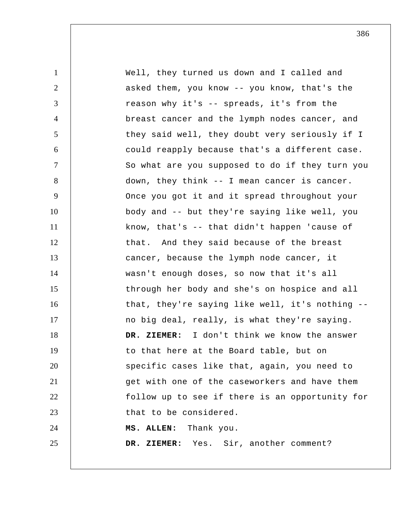| $\mathbf{1}$   | Well, they turned us down and I called and      |
|----------------|-------------------------------------------------|
| 2              | asked them, you know -- you know, that's the    |
| 3              | reason why it's -- spreads, it's from the       |
| $\overline{4}$ | breast cancer and the lymph nodes cancer, and   |
| 5              | they said well, they doubt very seriously if I  |
| 6              | could reapply because that's a different case.  |
| $\overline{7}$ | So what are you supposed to do if they turn you |
| 8              | down, they think -- I mean cancer is cancer.    |
| 9              | Once you got it and it spread throughout your   |
| 10             | body and -- but they're saying like well, you   |
| 11             | know, that's -- that didn't happen 'cause of    |
| 12             | that. And they said because of the breast       |
| 13             | cancer, because the lymph node cancer, it       |
| 14             | wasn't enough doses, so now that it's all       |
| 15             | through her body and she's on hospice and all   |
| 16             | that, they're saying like well, it's nothing -- |
| 17             | no big deal, really, is what they're saying.    |
| 18             | DR. ZIEMER: I don't think we know the answer    |
| 19             | to that here at the Board table, but on         |
| 20             | specific cases like that, again, you need to    |
| 21             | get with one of the caseworkers and have them   |
| 22             | follow up to see if there is an opportunity for |
| 23             | that to be considered.                          |
| 24             | MS. ALLEN: Thank you.                           |
| 25             | DR. ZIEMER: Yes. Sir, another comment?          |
|                |                                                 |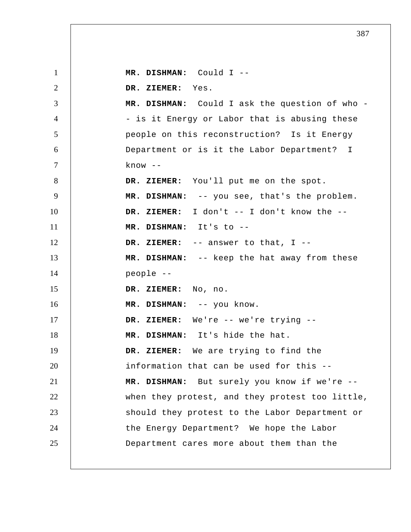1 2 3 4 5 6 7 8 9 10 11 12 13 14 15 16 17 18 19 20 21 22 23 24 25  **MR. DISHMAN:** Could I -- **DR. ZIEMER:** Yes.  **MR. DISHMAN:** Could I ask the question of who - is it Energy or Labor that is abusing these people on this reconstruction? Is it Energy Department or is it the Labor Department? I  $know --$  **DR. ZIEMER:** You'll put me on the spot.  **MR. DISHMAN:** -- you see, that's the problem.  **DR. ZIEMER:** I don't -- I don't know the --  **MR. DISHMAN:** It's to --  **DR. ZIEMER:** -- answer to that, I --  **MR. DISHMAN:** -- keep the hat away from these people --  **DR. ZIEMER:** No, no.  **MR. DISHMAN:** -- you know.  **DR. ZIEMER:** We're -- we're trying --  **MR. DISHMAN:** It's hide the hat.  **DR. ZIEMER:** We are trying to find the information that can be used for this --  **MR. DISHMAN:** But surely you know if we're - when they protest, and they protest too little, should they protest to the Labor Department or the Energy Department? We hope the Labor Department cares more about them than the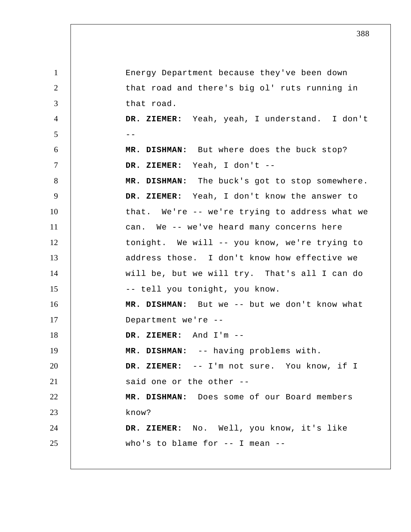1 2 3 4  $5$  --6 7 8 9 10 11 12 13 14 15 16 17 18 19 20 21 22 23 24 25 Energy Department because they've been down that road and there's big ol' ruts running in that road.  **DR. ZIEMER:** Yeah, yeah, I understand. I don't  **MR. DISHMAN:** But where does the buck stop?  **DR. ZIEMER:** Yeah, I don't -- **MR. DISHMAN:** The buck's got to stop somewhere.  **DR. ZIEMER:** Yeah, I don't know the answer to that. We're -- we're trying to address what we can. We -- we've heard many concerns here tonight. We will -- you know, we're trying to address those. I don't know how effective we will be, but we will try. That's all I can do -- tell you tonight, you know.  **MR. DISHMAN:** But we -- but we don't know what Department we're --  **DR. ZIEMER:** And I'm -- **MR. DISHMAN:** -- having problems with.  **DR. ZIEMER:** -- I'm not sure. You know, if I said one or the other --  **MR. DISHMAN:** Does some of our Board members know?  **DR. ZIEMER:** No. Well, you know, it's like who's to blame for -- I mean --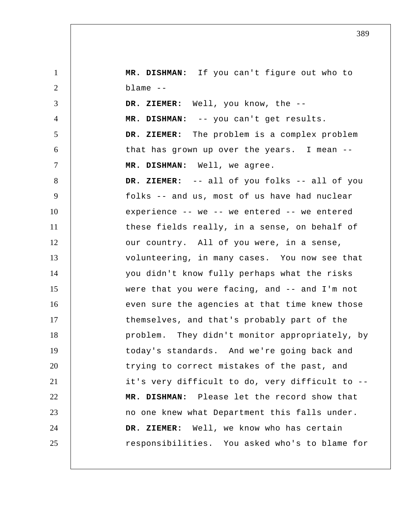1 2 3 4 5 6 7 8 9 10 11 12 13 14 15 16 17 18 19 20 21 22 23 24 25  **MR. DISHMAN:** If you can't figure out who to  $blame$   $--$  **DR. ZIEMER:** Well, you know, the --  **MR. DISHMAN:** -- you can't get results.  **DR. ZIEMER:** The problem is a complex problem that has grown up over the years. I mean -- **MR. DISHMAN:** Well, we agree.  **DR. ZIEMER:** -- all of you folks -- all of you folks -- and us, most of us have had nuclear experience -- we -- we entered -- we entered these fields really, in a sense, on behalf of our country. All of you were, in a sense, volunteering, in many cases. You now see that you didn't know fully perhaps what the risks were that you were facing, and -- and I'm not even sure the agencies at that time knew those themselves, and that's probably part of the problem. They didn't monitor appropriately, by today's standards. And we're going back and trying to correct mistakes of the past, and it's very difficult to do, very difficult to --  **MR. DISHMAN:** Please let the record show that no one knew what Department this falls under.  **DR. ZIEMER:** Well, we know who has certain responsibilities. You asked who's to blame for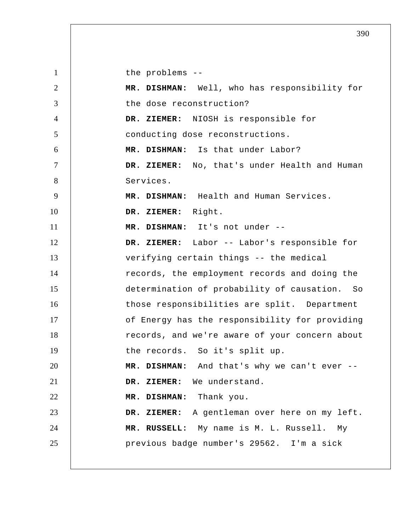1 2 3 4 5 6 7 8 9 10 11 12 13 14 15 16 17 18 19 20 21 22 23 24 25 the problems -- **MR. DISHMAN:** Well, who has responsibility for the dose reconstruction?  **DR. ZIEMER:** NIOSH is responsible for conducting dose reconstructions.  **MR. DISHMAN:** Is that under Labor?  **DR. ZIEMER:** No, that's under Health and Human Services.  **MR. DISHMAN:** Health and Human Services.  **DR. ZIEMER:** Right.  **MR. DISHMAN:** It's not under -- **DR. ZIEMER:** Labor -- Labor's responsible for verifying certain things -- the medical records, the employment records and doing the determination of probability of causation. So those responsibilities are split. Department of Energy has the responsibility for providing records, and we're aware of your concern about the records. So it's split up.  **MR. DISHMAN:** And that's why we can't ever --  **DR. ZIEMER:** We understand.  **MR. DISHMAN:** Thank you.  **DR. ZIEMER:** A gentleman over here on my left.  **MR. RUSSELL:** My name is M. L. Russell. My previous badge number's 29562. I'm a sick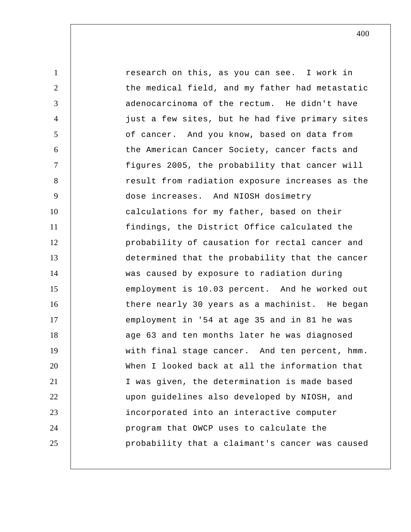1 2 3 4 5 6 7 8 9 10 11 12 13 14 15 16 17 18 19 20 21 22 23 24 25 research on this, as you can see. I work in the medical field, and my father had metastatic adenocarcinoma of the rectum. He didn't have just a few sites, but he had five primary sites of cancer. And you know, based on data from the American Cancer Society, cancer facts and figures 2005, the probability that cancer will result from radiation exposure increases as the dose increases. And NIOSH dosimetry calculations for my father, based on their findings, the District Office calculated the probability of causation for rectal cancer and determined that the probability that the cancer was caused by exposure to radiation during employment is 10.03 percent. And he worked out there nearly 30 years as a machinist. He began employment in '54 at age 35 and in 81 he was age 63 and ten months later he was diagnosed with final stage cancer. And ten percent, hmm. When I looked back at all the information that I was given, the determination is made based upon guidelines also developed by NIOSH, and incorporated into an interactive computer program that OWCP uses to calculate the probability that a claimant's cancer was caused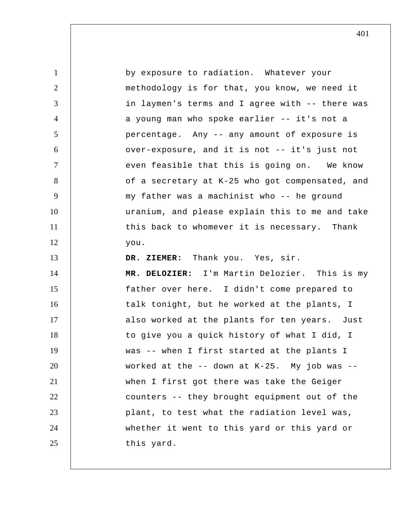1 2 3 4 5 6 7 8 9 10 11 12 13 14 15 16 17 18 19 20 21 22 23 24 25 by exposure to radiation. Whatever your methodology is for that, you know, we need it in laymen's terms and I agree with -- there was a young man who spoke earlier -- it's not a percentage. Any -- any amount of exposure is over-exposure, and it is not -- it's just not even feasible that this is going on. We know of a secretary at K-25 who got compensated, and my father was a machinist who -- he ground uranium, and please explain this to me and take this back to whomever it is necessary. Thank you.  **DR. ZIEMER:** Thank you. Yes, sir. **MR. DELOZIER:** I'm Martin Delozier. This is my father over here. I didn't come prepared to talk tonight, but he worked at the plants, I also worked at the plants for ten years. Just to give you a quick history of what I did, I was -- when I first started at the plants I worked at the  $-$ - down at K-25. My job was  $-$ when I first got there was take the Geiger counters -- they brought equipment out of the plant, to test what the radiation level was, whether it went to this yard or this yard or this yard.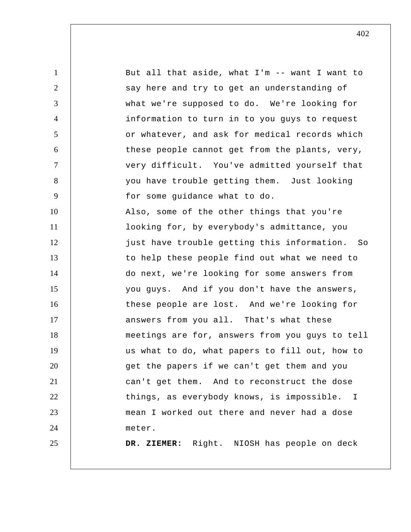1 2 3 4 5 6 7 8 9 10 11 12 13 14 15 16 17 18 19 20 21 22 23 24 25 But all that aside, what I'm -- want I want to say here and try to get an understanding of what we're supposed to do. We're looking for information to turn in to you guys to request or whatever, and ask for medical records which these people cannot get from the plants, very, very difficult. You've admitted yourself that you have trouble getting them. Just looking for some guidance what to do. Also, some of the other things that you're looking for, by everybody's admittance, you just have trouble getting this information. So to help these people find out what we need to do next, we're looking for some answers from you guys. And if you don't have the answers, these people are lost. And we're looking for answers from you all. That's what these meetings are for, answers from you guys to tell us what to do, what papers to fill out, how to get the papers if we can't get them and you can't get them. And to reconstruct the dose things, as everybody knows, is impossible. I mean I worked out there and never had a dose meter.  **DR. ZIEMER:** Right. NIOSH has people on deck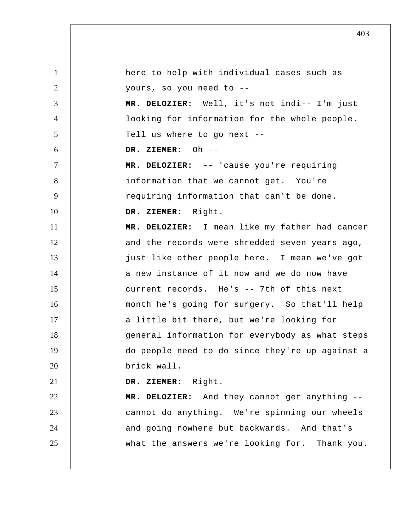1 2 3 4 5 6 7 8 9 10 11 12 13 14 15 16 17 18 19 20 21 22 23 24 25 here to help with individual cases such as yours, so you need to -- **MR. DELOZIER:** Well, it's not indi-- I'm just looking for information for the whole people. Tell us where to go next --  **DR. ZIEMER:** Oh --**MR. DELOZIER:** -- 'cause you're requiring information that we cannot get. You're requiring information that can't be done.  **DR. ZIEMER:** Right. **MR. DELOZIER:** I mean like my father had cancer and the records were shredded seven years ago, just like other people here. I mean we've got a new instance of it now and we do now have current records. He's -- 7th of this next month he's going for surgery. So that'll help a little bit there, but we're looking for general information for everybody as what steps do people need to do since they're up against a brick wall.  **DR. ZIEMER:** Right. **MR. DELOZIER:** And they cannot get anything - cannot do anything. We're spinning our wheels and going nowhere but backwards. And that's what the answers we're looking for. Thank you.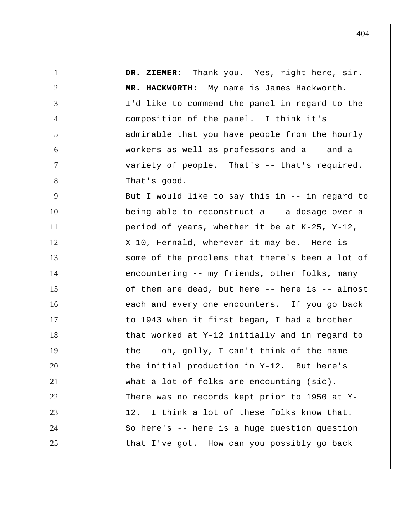1 2 3 4 5 6 7 8 9 10 11 12 13 14 15 16 17 18 19 20 21 22 23 24 25  **DR. ZIEMER:** Thank you. Yes, right here, sir.  **MR. HACKWORTH:** My name is James Hackworth. I'd like to commend the panel in regard to the composition of the panel. I think it's admirable that you have people from the hourly workers as well as professors and a -- and a variety of people. That's -- that's required. That's good. But I would like to say this in -- in regard to being able to reconstruct a -- a dosage over a period of years, whether it be at K-25, Y-12, X-10, Fernald, wherever it may be. Here is some of the problems that there's been a lot of encountering -- my friends, other folks, many of them are dead, but here -- here is -- almost each and every one encounters. If you go back to 1943 when it first began, I had a brother that worked at Y-12 initially and in regard to the -- oh, golly, I can't think of the name - the initial production in Y-12. But here's what a lot of folks are encounting (sic). There was no records kept prior to 1950 at Y-12. I think a lot of these folks know that. So here's -- here is a huge question question that I've got. How can you possibly go back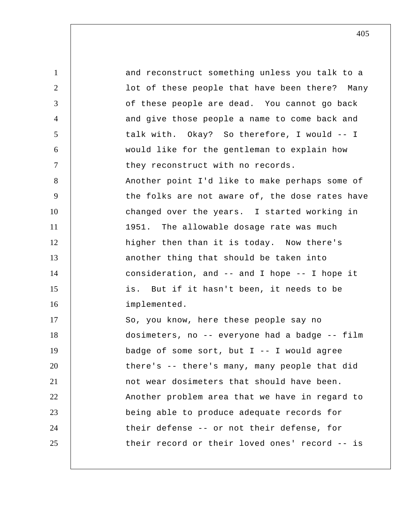1 2 3 4 5 6 7 8 9 10 11 12 13 14 15 16 17 18 19 20 21 22 23 24 25 and reconstruct something unless you talk to a lot of these people that have been there? Many of these people are dead. You cannot go back and give those people a name to come back and talk with. Okay? So therefore, I would -- I would like for the gentleman to explain how they reconstruct with no records. Another point I'd like to make perhaps some of the folks are not aware of, the dose rates have changed over the years. I started working in 1951. The allowable dosage rate was much higher then than it is today. Now there's another thing that should be taken into consideration, and -- and I hope -- I hope it is. But if it hasn't been, it needs to be implemented. So, you know, here these people say no dosimeters, no -- everyone had a badge -- film badge of some sort, but  $I$  -- I would agree there's -- there's many, many people that did not wear dosimeters that should have been. Another problem area that we have in regard to being able to produce adequate records for their defense -- or not their defense, for their record or their loved ones' record -- is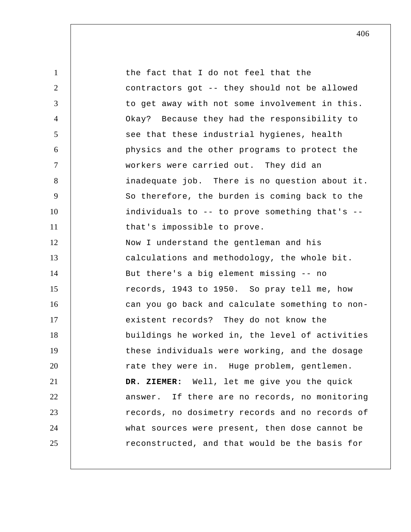1 2 3 4 5 6 7 8 9 10 11 12 13 14 15 16 17 18 19 20 21 22 23 24 25 the fact that I do not feel that the contractors got -- they should not be allowed to get away with not some involvement in this. Okay? Because they had the responsibility to see that these industrial hygienes, health physics and the other programs to protect the workers were carried out. They did an inadequate job. There is no question about it. So therefore, the burden is coming back to the individuals to -- to prove something that's - that's impossible to prove. Now I understand the gentleman and his calculations and methodology, the whole bit. But there's a big element missing -- no records, 1943 to 1950. So pray tell me, how can you go back and calculate something to nonexistent records? They do not know the buildings he worked in, the level of activities these individuals were working, and the dosage rate they were in. Huge problem, gentlemen.  **DR. ZIEMER:** Well, let me give you the quick answer. If there are no records, no monitoring records, no dosimetry records and no records of what sources were present, then dose cannot be reconstructed, and that would be the basis for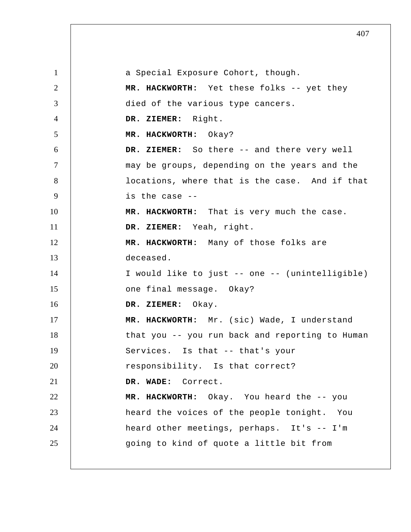1 2 3 4 5 6 7 8 9 10 11 12 13 14 15 16 17 18 19 20 21 22 23 24 25 a Special Exposure Cohort, though.  **MR. HACKWORTH:** Yet these folks -- yet they died of the various type cancers.  **DR. ZIEMER:** Right.  **MR. HACKWORTH:** Okay?  **DR. ZIEMER:** So there -- and there very well may be groups, depending on the years and the locations, where that is the case. And if that is the case --  **MR. HACKWORTH:** That is very much the case.  **DR. ZIEMER:** Yeah, right.  **MR. HACKWORTH:** Many of those folks are deceased. I would like to just -- one -- (unintelligible) one final message. Okay?  **DR. ZIEMER:** Okay.  **MR. HACKWORTH:** Mr. (sic) Wade, I understand that you -- you run back and reporting to Human Services. Is that -- that's your responsibility. Is that correct?  **DR. WADE:** Correct.  **MR. HACKWORTH:** Okay. You heard the -- you heard the voices of the people tonight. You heard other meetings, perhaps. It's -- I'm going to kind of quote a little bit from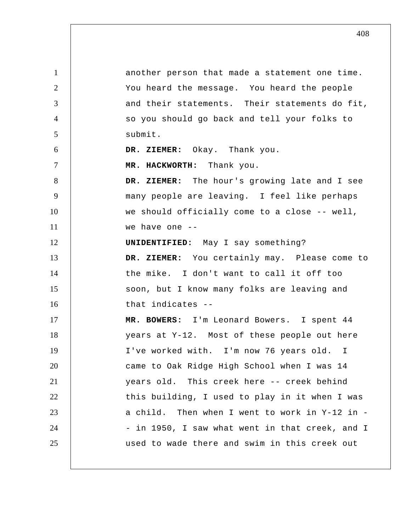1 2 3 4 5 6 7 8 9 10 11 12 13 14 15 16 17 18 19 20 21 22 23 24 25 another person that made a statement one time. You heard the message. You heard the people and their statements. Their statements do fit, so you should go back and tell your folks to submit.  **DR. ZIEMER:** Okay. Thank you.  **MR. HACKWORTH:** Thank you.  **DR. ZIEMER:** The hour's growing late and I see many people are leaving. I feel like perhaps we should officially come to a close -- well, we have one --**UNIDENTIFIED:** May I say something?  **DR. ZIEMER:** You certainly may. Please come to the mike. I don't want to call it off too soon, but I know many folks are leaving and that indicates -- **MR. BOWERS:** I'm Leonard Bowers. I spent 44 years at Y-12. Most of these people out here I've worked with. I'm now 76 years old. I came to Oak Ridge High School when I was 14 years old. This creek here -- creek behind this building, I used to play in it when I was a child. Then when I went to work in Y-12 in - in 1950, I saw what went in that creek, and I used to wade there and swim in this creek out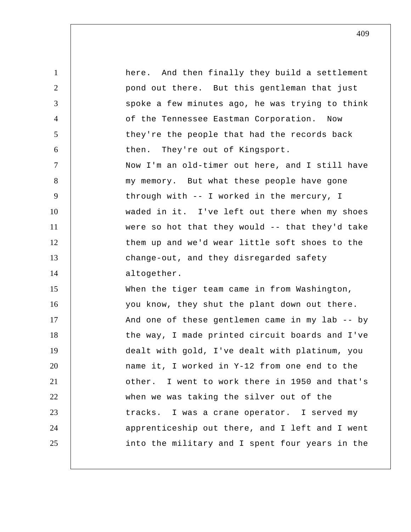1 2 3 4 5 6 7 8 9 10 11 12 13 14 15 16 17 18 19 20 21 22 23 24 25 here. And then finally they build a settlement pond out there. But this gentleman that just spoke a few minutes ago, he was trying to think of the Tennessee Eastman Corporation. Now they're the people that had the records back then. They're out of Kingsport. Now I'm an old-timer out here, and I still have my memory. But what these people have gone through with -- I worked in the mercury, I waded in it. I've left out there when my shoes were so hot that they would -- that they'd take them up and we'd wear little soft shoes to the change-out, and they disregarded safety altogether. When the tiger team came in from Washington, you know, they shut the plant down out there. And one of these gentlemen came in my lab -- by the way, I made printed circuit boards and I've dealt with gold, I've dealt with platinum, you name it, I worked in Y-12 from one end to the other. I went to work there in 1950 and that's when we was taking the silver out of the tracks. I was a crane operator. I served my apprenticeship out there, and I left and I went into the military and I spent four years in the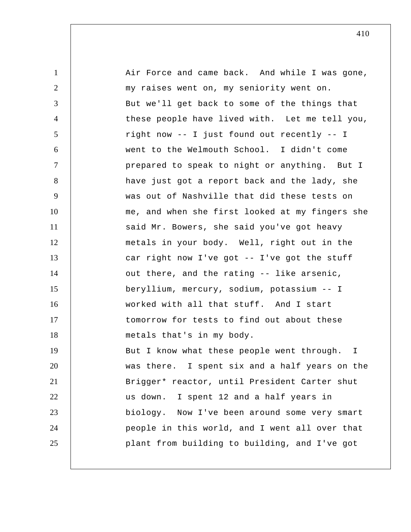| $\mathbf{1}$   | Air Force and came back. And while I was gone,   |
|----------------|--------------------------------------------------|
| $\overline{2}$ | my raises went on, my seniority went on.         |
| 3              | But we'll get back to some of the things that    |
| 4              | these people have lived with. Let me tell you,   |
| 5              | right now -- I just found out recently -- I      |
| 6              | went to the Welmouth School. I didn't come       |
| $\tau$         | prepared to speak to night or anything. But I    |
| 8              | have just got a report back and the lady, she    |
| 9              | was out of Nashville that did these tests on     |
| 10             | me, and when she first looked at my fingers she  |
| 11             | said Mr. Bowers, she said you've got heavy       |
| 12             | metals in your body. Well, right out in the      |
| 13             | car right now I've got -- I've got the stuff     |
| 14             | out there, and the rating -- like arsenic,       |
| 15             | beryllium, mercury, sodium, potassium -- I       |
| 16             | worked with all that stuff. And I start          |
| 17             | tomorrow for tests to find out about these       |
| 18             | metals that's in my body.                        |
| 19             | But I know what these people went through.<br>I. |
| 20             | was there. I spent six and a half years on the   |
| 21             | Brigger* reactor, until President Carter shut    |
| 22             | us down. I spent 12 and a half years in          |
| 23             | biology. Now I've been around some very smart    |
| 24             | people in this world, and I went all over that   |
| 25             | plant from building to building, and I've got    |
|                |                                                  |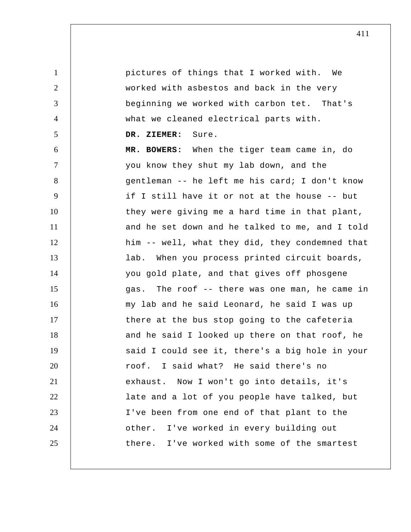pictures of things that I worked with. We worked with asbestos and back in the very beginning we worked with carbon tet. That's what we cleaned electrical parts with.  **DR. ZIEMER:** Sure.  **MR. BOWERS:** When the tiger team came in, do you know they shut my lab down, and the gentleman -- he left me his card; I don't know if I still have it or not at the house -- but they were giving me a hard time in that plant, and he set down and he talked to me, and I told him -- well, what they did, they condemned that lab. When you process printed circuit boards, you gold plate, and that gives off phosgene my lab and he said Leonard, he said I was up

1

2

3

4

5

6

7

8

9

10

11

12

13

14

15 16 17 18 19 20 21 22 23 24 25 gas. The roof -- there was one man, he came in there at the bus stop going to the cafeteria and he said I looked up there on that roof, he said I could see it, there's a big hole in your roof. I said what? He said there's no exhaust. Now I won't go into details, it's late and a lot of you people have talked, but I've been from one end of that plant to the other. I've worked in every building out there. I've worked with some of the smartest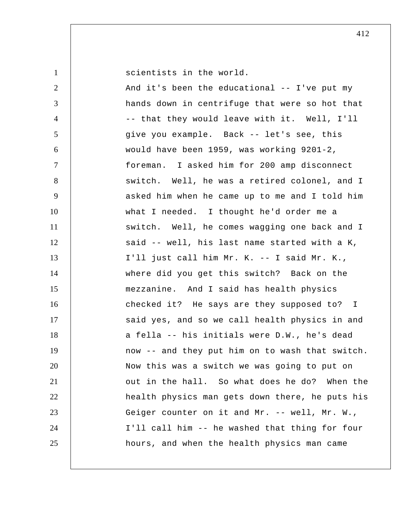1 2 3 4 5 6 7 8 9 10 11 12 13 14 15 16 17 18 19 20 21 22 23 24 25 scientists in the world. And it's been the educational -- I've put my hands down in centrifuge that were so hot that -- that they would leave with it. Well, I'll give you example. Back -- let's see, this would have been 1959, was working 9201-2, foreman. I asked him for 200 amp disconnect switch. Well, he was a retired colonel, and I asked him when he came up to me and I told him what I needed. I thought he'd order me a switch. Well, he comes wagging one back and I said -- well, his last name started with a K, I'll just call him Mr. K. -- I said Mr. K., where did you get this switch? Back on the mezzanine. And I said has health physics checked it? He says are they supposed to? I said yes, and so we call health physics in and a fella -- his initials were D.W., he's dead now -- and they put him on to wash that switch. Now this was a switch we was going to put on out in the hall. So what does he do? When the health physics man gets down there, he puts his Geiger counter on it and Mr. -- well, Mr. W., I'll call him -- he washed that thing for four hours, and when the health physics man came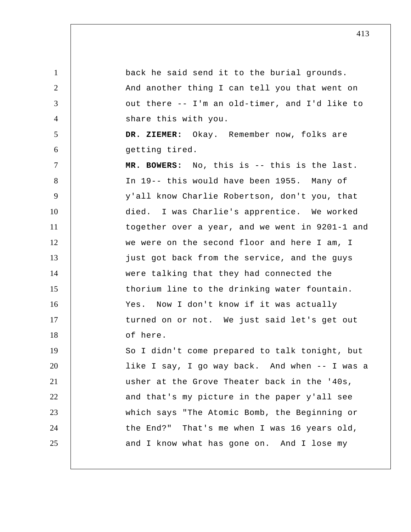1 2 3 4 5 6 7 8 9 10 11 12 13 14 15 16 17 18 19 20 21 22 23 24 25 back he said send it to the burial grounds. And another thing I can tell you that went on out there -- I'm an old-timer, and I'd like to share this with you.  **DR. ZIEMER:** Okay. Remember now, folks are getting tired.  **MR. BOWERS:** No, this is -- this is the last. In 19-- this would have been 1955. Many of y'all know Charlie Robertson, don't you, that died. I was Charlie's apprentice. We worked together over a year, and we went in 9201-1 and we were on the second floor and here I am, I just got back from the service, and the guys were talking that they had connected the thorium line to the drinking water fountain. Yes. Now I don't know if it was actually turned on or not. We just said let's get out of here. So I didn't come prepared to talk tonight, but like I say, I go way back. And when -- I was a usher at the Grove Theater back in the '40s, and that's my picture in the paper y'all see which says "The Atomic Bomb, the Beginning or the End?" That's me when I was 16 years old, and I know what has gone on. And I lose my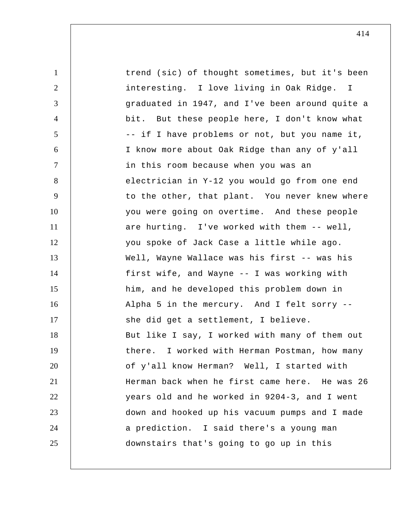| $\mathbf{1}$   | trend (sic) of thought sometimes, but it's been  |
|----------------|--------------------------------------------------|
| $\overline{2}$ | interesting. I love living in Oak Ridge. I       |
| 3              | graduated in 1947, and I've been around quite a  |
| 4              | bit. But these people here, I don't know what    |
| 5              | -- if I have problems or not, but you name it,   |
| 6              | I know more about Oak Ridge than any of y'all    |
| $\tau$         | in this room because when you was an             |
| 8              | electrician in Y-12 you would go from one end    |
| 9              | to the other, that plant. You never knew where   |
| 10             | you were going on overtime. And these people     |
| 11             | are hurting. I've worked with them -- well,      |
| 12             | you spoke of Jack Case a little while ago.       |
| 13             | Well, Wayne Wallace was his first -- was his     |
| 14             | first wife, and Wayne -- I was working with      |
| 15             | him, and he developed this problem down in       |
| 16             | Alpha 5 in the mercury. And I felt sorry --      |
| 17             | she did get a settlement, I believe.             |
| 18             | But like I say, I worked with many of them out   |
| 19             | I worked with Herman Postman, how many<br>there. |
| 20             | of y'all know Herman? Well, I started with       |
| 21             | Herman back when he first came here. He was 26   |
| 22             | years old and he worked in 9204-3, and I went    |
| 23             | down and hooked up his vacuum pumps and I made   |
| 24             | a prediction. I said there's a young man         |
| 25             | downstairs that's going to go up in this         |
|                |                                                  |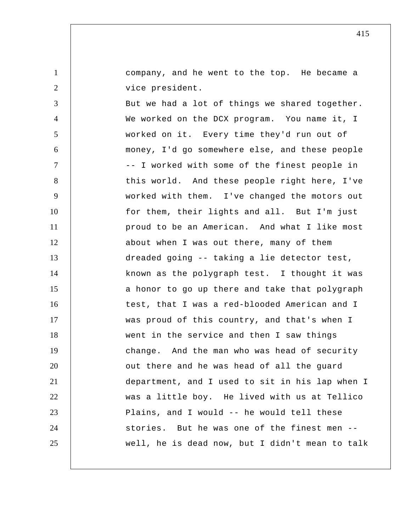company, and he went to the top. He became a vice president.

1

2

3 4 5 6 7 8 9 10 11 12 13 14 15 16 17 18 19 20 21 22 23 24 25 But we had a lot of things we shared together. We worked on the DCX program. You name it, I worked on it. Every time they'd run out of money, I'd go somewhere else, and these people -- I worked with some of the finest people in this world. And these people right here, I've worked with them. I've changed the motors out for them, their lights and all. But I'm just proud to be an American. And what I like most about when I was out there, many of them dreaded going -- taking a lie detector test, known as the polygraph test. I thought it was a honor to go up there and take that polygraph test, that I was a red-blooded American and I was proud of this country, and that's when I went in the service and then I saw things change. And the man who was head of security out there and he was head of all the guard department, and I used to sit in his lap when I was a little boy. He lived with us at Tellico Plains, and I would -- he would tell these stories. But he was one of the finest men - well, he is dead now, but I didn't mean to talk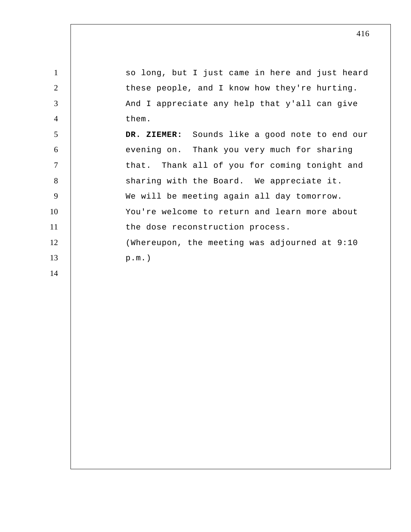1 2 3 4 5 6 7 8 9 10 11 12 13 so long, but I just came in here and just heard these people, and I know how they're hurting. And I appreciate any help that y'all can give them.  **DR. ZIEMER:** Sounds like a good note to end our evening on. Thank you very much for sharing that. Thank all of you for coming tonight and sharing with the Board. We appreciate it. We will be meeting again all day tomorrow. You're welcome to return and learn more about the dose reconstruction process. (Whereupon, the meeting was adjourned at 9:10 p.m.)

14